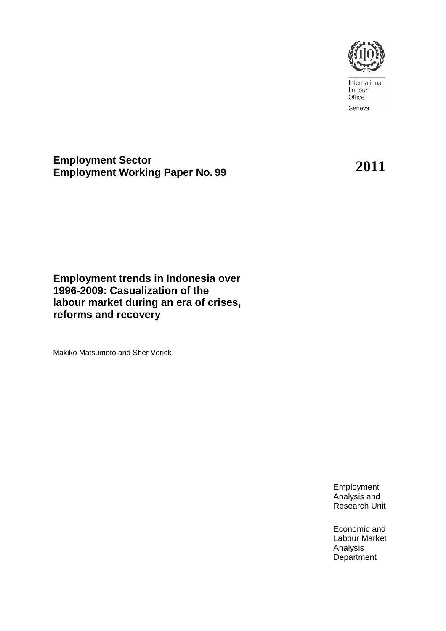

International Labour Office Geneva

**Employment Sector Employment Working Paper No. <sup>99</sup>2011**

**Employment trends in Indonesia over 1996-2009: Casualization of the labour market during an era of crises, reforms and recovery** 

Makiko Matsumoto and Sher Verick

Employment Analysis and Research Unit

Economic and Labour Market Analysis **Department**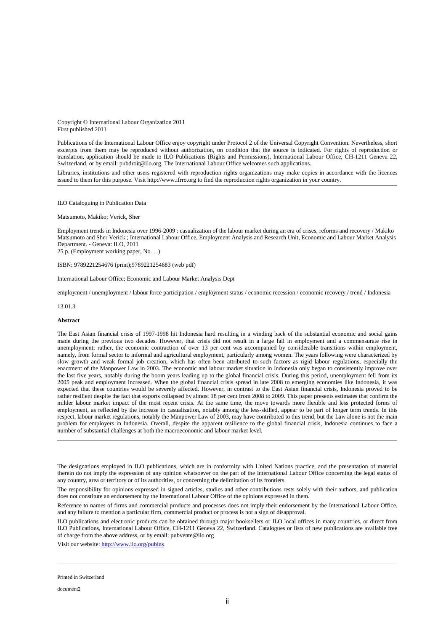Copyright © International Labour Organization 2011 First published 2011

Publications of the International Labour Office enjoy copyright under Protocol 2 of the Universal Copyright Convention. Nevertheless, short excerpts from them may be reproduced without authorization, on condition that the source is indicated. For rights of reproduction or translation, application should be made to ILO Publications (Rights and Permissions), International Labour Office, CH-1211 Geneva 22, Switzerland, or by email: pubdroit@ilo.org. The International Labour Office welcomes such applications.

Libraries, institutions and other users registered with reproduction rights organizations may make copies in accordance with the licences issued to them for this purpose. Visit http://www.ifrro.org to find the reproduction rights organization in your country.

#### ILO Cataloguing in Publication Data

#### Matsumoto, Makiko; Verick, Sher

Employment trends in Indonesia over 1996-2009 : casualization of the labour market during an era of crises, reforms and recovery / Makiko Matsumoto and Sher Verick ; International Labour Office, Employment Analysis and Research Unit, Economic and Labour Market Analysis Department. - Geneva: ILO, 2011

25 p. (Employment working paper, No. ...)

ISBN: 9789221254676 (print);9789221254683 (web pdf)

International Labour Office; Economic and Labour Market Analysis Dept

employment / unemployment / labour force participation / employment status / economic recession / economic recovery / trend / Indonesia

13.01.3

#### **Abstract**

The East Asian financial crisis of 1997-1998 hit Indonesia hard resulting in a winding back of the substantial economic and social gains made during the previous two decades. However, that crisis did not result in a large fall in employment and a commensurate rise in unemployment; rather, the economic contraction of over 13 per cent was accompanied by considerable transitions within employment, namely, from formal sector to informal and agricultural employment, particularly among women. The years following were characterized by slow growth and weak formal job creation, which has often been attributed to such factors as rigid labour regulations, especially the enactment of the Manpower Law in 2003. The economic and labour market situation in Indonesia only began to consistently improve over the last five years, notably during the boom years leading up to the global financial crisis. During this period, unemployment fell from its 2005 peak and employment increased. When the global financial crisis spread in late 2008 to emerging economies like Indonesia, it was expected that these countries would be severely affected. However, in contrast to the East Asian financial crisis, Indonesia proved to be rather resilient despite the fact that exports collapsed by almost 18 per cent from 2008 to 2009. This paper presents estimates that confirm the milder labour market impact of the most recent crisis. At the same time, the move towards more flexible and less protected forms of employment, as reflected by the increase in casualization, notably among the less-skilled, appear to be part of longer term trends. In this respect, labour market regulations, notably the Manpower Law of 2003, may have contributed to this trend, but the Law alone is not the main problem for employers in Indonesia. Overall, despite the apparent resilience to the global financial crisis, Indonesia continues to face a number of substantial challenges at both the macroeconomic and labour market level.

The designations employed in ILO publications, which are in conformity with United Nations practice, and the presentation of material therein do not imply the expression of any opinion whatsoever on the part of the International Labour Office concerning the legal status of any country, area or territory or of its authorities, or concerning the delimitation of its frontiers.

The responsibility for opinions expressed in signed articles, studies and other contributions rests solely with their authors, and publication does not constitute an endorsement by the International Labour Office of the opinions expressed in them.

Reference to names of firms and commercial products and processes does not imply their endorsement by the International Labour Office, and any failure to mention a particular firm, commercial product or process is not a sign of disapproval.

ILO publications and electronic products can be obtained through major booksellers or ILO local offices in many countries, or direct from ILO Publications, International Labour Office, CH-1211 Geneva 22, Switzerland. Catalogues or lists of new publications are available free of charge from the above address, or by email: pubvente@ilo.org

Visit our website: http://www.ilo.org/publns

Printed in Switzerland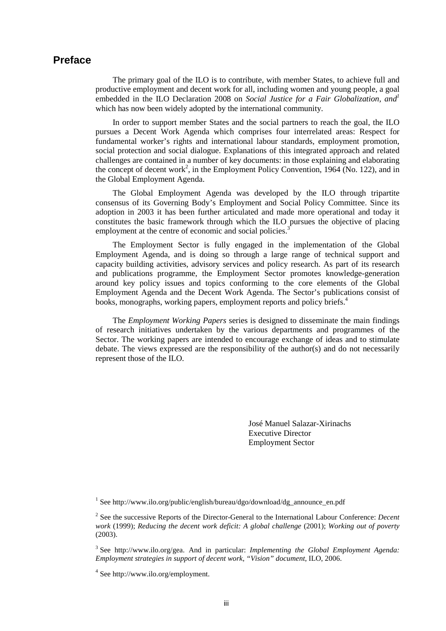### **Preface**

The primary goal of the ILO is to contribute, with member States, to achieve full and productive employment and decent work for all, including women and young people, a goal embedded in the ILO Declaration 2008 on *Social Justice for a Fair Globalization, and<sup>1</sup>* which has now been widely adopted by the international community.

In order to support member States and the social partners to reach the goal, the ILO pursues a Decent Work Agenda which comprises four interrelated areas: Respect for fundamental worker's rights and international labour standards, employment promotion, social protection and social dialogue. Explanations of this integrated approach and related challenges are contained in a number of key documents: in those explaining and elaborating the concept of decent work<sup>2</sup>, in the Employment Policy Convention, 1964 (No. 122), and in the Global Employment Agenda.

The Global Employment Agenda was developed by the ILO through tripartite consensus of its Governing Body's Employment and Social Policy Committee. Since its adoption in 2003 it has been further articulated and made more operational and today it constitutes the basic framework through which the ILO pursues the objective of placing employment at the centre of economic and social policies.<sup>3</sup>

The Employment Sector is fully engaged in the implementation of the Global Employment Agenda, and is doing so through a large range of technical support and capacity building activities, advisory services and policy research. As part of its research and publications programme, the Employment Sector promotes knowledge-generation around key policy issues and topics conforming to the core elements of the Global Employment Agenda and the Decent Work Agenda. The Sector's publications consist of books, monographs, working papers, employment reports and policy briefs.<sup>4</sup>

The *Employment Working Papers* series is designed to disseminate the main findings of research initiatives undertaken by the various departments and programmes of the Sector. The working papers are intended to encourage exchange of ideas and to stimulate debate. The views expressed are the responsibility of the author(s) and do not necessarily represent those of the ILO.

> José Manuel Salazar-Xirinachs Executive Director Employment Sector

<sup>1</sup> See http://www.ilo.org/public/english/bureau/dgo/download/dg\_announce\_en.pdf

3 See http://www.ilo.org/gea. And in particular: *Implementing the Global Employment Agenda: Employment strategies in support of decent work, "Vision" document*, ILO, 2006.

4 See http://www.ilo.org/employment.

<sup>2</sup> See the successive Reports of the Director-General to the International Labour Conference: *Decent work* (1999); *Reducing the decent work deficit: A global challenge* (2001); *Working out of poverty*  (2003).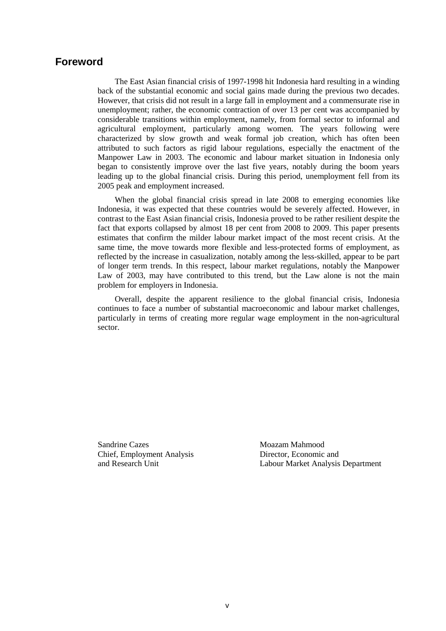### **Foreword**

The East Asian financial crisis of 1997-1998 hit Indonesia hard resulting in a winding back of the substantial economic and social gains made during the previous two decades. However, that crisis did not result in a large fall in employment and a commensurate rise in unemployment; rather, the economic contraction of over 13 per cent was accompanied by considerable transitions within employment, namely, from formal sector to informal and agricultural employment, particularly among women. The years following were characterized by slow growth and weak formal job creation, which has often been attributed to such factors as rigid labour regulations, especially the enactment of the Manpower Law in 2003. The economic and labour market situation in Indonesia only began to consistently improve over the last five years, notably during the boom years leading up to the global financial crisis. During this period, unemployment fell from its 2005 peak and employment increased.

When the global financial crisis spread in late 2008 to emerging economies like Indonesia, it was expected that these countries would be severely affected. However, in contrast to the East Asian financial crisis, Indonesia proved to be rather resilient despite the fact that exports collapsed by almost 18 per cent from 2008 to 2009. This paper presents estimates that confirm the milder labour market impact of the most recent crisis. At the same time, the move towards more flexible and less-protected forms of employment, as reflected by the increase in casualization, notably among the less-skilled, appear to be part of longer term trends. In this respect, labour market regulations, notably the Manpower Law of 2003, may have contributed to this trend, but the Law alone is not the main problem for employers in Indonesia.

Overall, despite the apparent resilience to the global financial crisis, Indonesia continues to face a number of substantial macroeconomic and labour market challenges, particularly in terms of creating more regular wage employment in the non-agricultural sector.

Sandrine Cazes Chief, Employment Analysis and Research Unit

Moazam Mahmood Director, Economic and Labour Market Analysis Department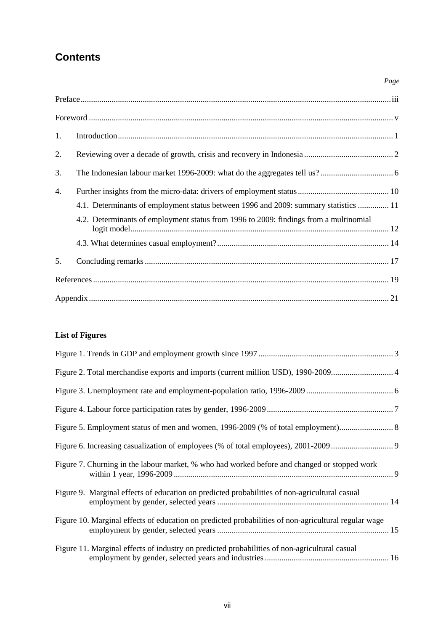# **Contents**

| 1. |                                                                                       |  |
|----|---------------------------------------------------------------------------------------|--|
| 2. |                                                                                       |  |
| 3. |                                                                                       |  |
| 4. |                                                                                       |  |
|    | 4.1. Determinants of employment status between 1996 and 2009: summary statistics  11  |  |
|    | 4.2. Determinants of employment status from 1996 to 2009: findings from a multinomial |  |
|    |                                                                                       |  |
| 5. |                                                                                       |  |
|    |                                                                                       |  |
|    |                                                                                       |  |

*Page* 

### **List of Figures**

| Figure 7. Churning in the labour market, % who had worked before and changed or stopped work         |
|------------------------------------------------------------------------------------------------------|
| Figure 9. Marginal effects of education on predicted probabilities of non-agricultural casual        |
| Figure 10. Marginal effects of education on predicted probabilities of non-agricultural regular wage |
| Figure 11. Marginal effects of industry on predicted probabilities of non-agricultural casual        |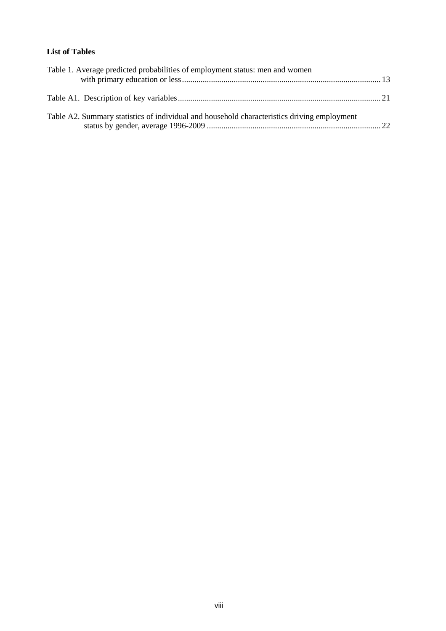### **List of Tables**

| Table 1. Average predicted probabilities of employment status: men and women                |  |
|---------------------------------------------------------------------------------------------|--|
|                                                                                             |  |
| Table A2. Summary statistics of individual and household characteristics driving employment |  |
|                                                                                             |  |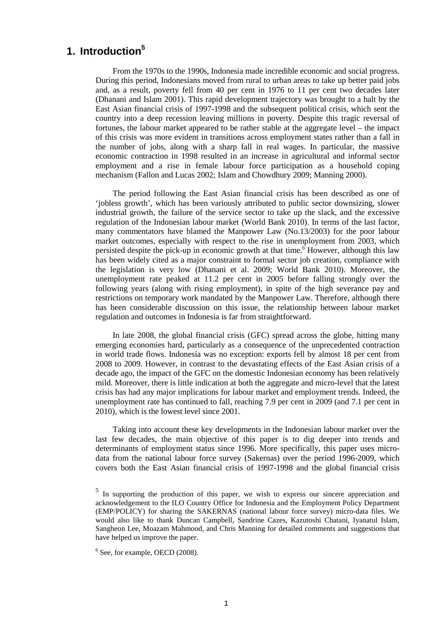## **1. Introduction<sup>5</sup>**

From the 1970s to the 1990s, Indonesia made incredible economic and social progress. During this period, Indonesians moved from rural to urban areas to take up better paid jobs and, as a result, poverty fell from 40 per cent in 1976 to 11 per cent two decades later (Dhanani and Islam 2001). This rapid development trajectory was brought to a halt by the East Asian financial crisis of 1997-1998 and the subsequent political crisis, which sent the country into a deep recession leaving millions in poverty. Despite this tragic reversal of fortunes, the labour market appeared to be rather stable at the aggregate level – the impact of this crisis was more evident in transitions across employment states rather than a fall in the number of jobs, along with a sharp fall in real wages. In particular, the massive economic contraction in 1998 resulted in an increase in agricultural and informal sector employment and a rise in female labour force participation as a household coping mechanism (Fallon and Lucas 2002; Islam and Chowdhury 2009; Manning 2000).

The period following the East Asian financial crisis has been described as one of 'jobless growth', which has been variously attributed to public sector downsizing, slower industrial growth, the failure of the service sector to take up the slack, and the excessive regulation of the Indonesian labour market (World Bank 2010). In terms of the last factor, many commentators have blamed the Manpower Law (No.13/2003) for the poor labour market outcomes, especially with respect to the rise in unemployment from 2003, which persisted despite the pick-up in economic growth at that time.<sup>6</sup> However, although this law has been widely cited as a major constraint to formal sector job creation, compliance with the legislation is very low (Dhanani et al. 2009; World Bank 2010). Moreover, the unemployment rate peaked at 11.2 per cent in 2005 before falling strongly over the following years (along with rising employment), in spite of the high severance pay and restrictions on temporary work mandated by the Manpower Law. Therefore, although there has been considerable discussion on this issue, the relationship between labour market regulation and outcomes in Indonesia is far from straightforward.

In late 2008, the global financial crisis (GFC) spread across the globe, hitting many emerging economies hard, particularly as a consequence of the unprecedented contraction in world trade flows. Indonesia was no exception: exports fell by almost 18 per cent from 2008 to 2009. However, in contrast to the devastating effects of the East Asian crisis of a decade ago, the impact of the GFC on the domestic Indonesian economy has been relatively mild. Moreover, there is little indication at both the aggregate and micro-level that the latest crisis has had any major implications for labour market and employment trends. Indeed, the unemployment rate has continued to fall, reaching 7.9 per cent in 2009 (and 7.1 per cent in 2010), which is the lowest level since 2001.

Taking into account these key developments in the Indonesian labour market over the last few decades, the main objective of this paper is to dig deeper into trends and determinants of employment status since 1996. More specifically, this paper uses microdata from the national labour force survey (Sakernas) over the period 1996-2009, which covers both the East Asian financial crisis of 1997-1998 and the global financial crisis

<sup>&</sup>lt;sup>5</sup> In supporting the production of this paper, we wish to express our sincere appreciation and acknowledgement to the ILO Country Office for Indonesia and the Employment Policy Department (EMP/POLICY) for sharing the SAKERNAS (national labour force survey) micro-data files. We would also like to thank Duncan Campbell, Sandrine Cazes, Kazutoshi Chatani, Iyanatul Islam, Sangheon Lee, Moazam Mahmood, and Chris Manning for detailed comments and suggestions that have helped us improve the paper.

<sup>&</sup>lt;sup>6</sup> See, for example, OECD (2008).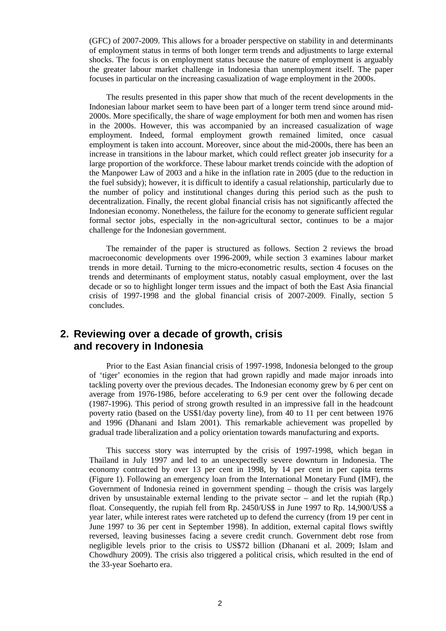(GFC) of 2007-2009. This allows for a broader perspective on stability in and determinants of employment status in terms of both longer term trends and adjustments to large external shocks. The focus is on employment status because the nature of employment is arguably the greater labour market challenge in Indonesia than unemployment itself. The paper focuses in particular on the increasing casualization of wage employment in the 2000s.

The results presented in this paper show that much of the recent developments in the Indonesian labour market seem to have been part of a longer term trend since around mid-2000s. More specifically, the share of wage employment for both men and women has risen in the 2000s. However, this was accompanied by an increased casualization of wage employment. Indeed, formal employment growth remained limited, once casual employment is taken into account. Moreover, since about the mid-2000s, there has been an increase in transitions in the labour market, which could reflect greater job insecurity for a large proportion of the workforce. These labour market trends coincide with the adoption of the Manpower Law of 2003 and a hike in the inflation rate in 2005 (due to the reduction in the fuel subsidy); however, it is difficult to identify a casual relationship, particularly due to the number of policy and institutional changes during this period such as the push to decentralization. Finally, the recent global financial crisis has not significantly affected the Indonesian economy. Nonetheless, the failure for the economy to generate sufficient regular formal sector jobs, especially in the non-agricultural sector, continues to be a major challenge for the Indonesian government.

The remainder of the paper is structured as follows. Section 2 reviews the broad macroeconomic developments over 1996-2009, while section 3 examines labour market trends in more detail. Turning to the micro-econometric results, section 4 focuses on the trends and determinants of employment status, notably casual employment, over the last decade or so to highlight longer term issues and the impact of both the East Asia financial crisis of 1997-1998 and the global financial crisis of 2007-2009. Finally, section 5 concludes.

### **2. Reviewing over a decade of growth, crisis and recovery in Indonesia**

Prior to the East Asian financial crisis of 1997-1998, Indonesia belonged to the group of 'tiger' economies in the region that had grown rapidly and made major inroads into tackling poverty over the previous decades. The Indonesian economy grew by 6 per cent on average from 1976-1986, before accelerating to 6.9 per cent over the following decade (1987-1996). This period of strong growth resulted in an impressive fall in the headcount poverty ratio (based on the US\$1/day poverty line), from 40 to 11 per cent between 1976 and 1996 (Dhanani and Islam 2001). This remarkable achievement was propelled by gradual trade liberalization and a policy orientation towards manufacturing and exports.

This success story was interrupted by the crisis of 1997-1998, which began in Thailand in July 1997 and led to an unexpectedly severe downturn in Indonesia. The economy contracted by over 13 per cent in 1998, by 14 per cent in per capita terms (Figure 1). Following an emergency loan from the International Monetary Fund (IMF), the Government of Indonesia reined in government spending – though the crisis was largely driven by unsustainable external lending to the private sector – and let the rupiah  $(Rp)$ . float. Consequently, the rupiah fell from Rp. 2450/US\$ in June 1997 to Rp. 14,900/US\$ a year later, while interest rates were ratcheted up to defend the currency (from 19 per cent in June 1997 to 36 per cent in September 1998). In addition, external capital flows swiftly reversed, leaving businesses facing a severe credit crunch. Government debt rose from negligible levels prior to the crisis to US\$72 billion (Dhanani et al. 2009; Islam and Chowdhury 2009). The crisis also triggered a political crisis, which resulted in the end of the 33-year Soeharto era.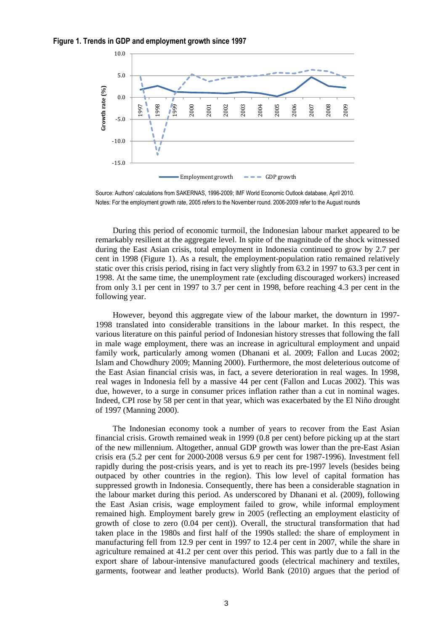



Source: Authors' calculations from SAKERNAS, 1996-2009; IMF World Economic Outlook database, April 2010. Notes: For the employment growth rate, 2005 refers to the November round. 2006-2009 refer to the August rounds

During this period of economic turmoil, the Indonesian labour market appeared to be remarkably resilient at the aggregate level. In spite of the magnitude of the shock witnessed during the East Asian crisis, total employment in Indonesia continued to grow by 2.7 per cent in 1998 (Figure 1). As a result, the employment-population ratio remained relatively static over this crisis period, rising in fact very slightly from 63.2 in 1997 to 63.3 per cent in 1998. At the same time, the unemployment rate (excluding discouraged workers) increased from only 3.1 per cent in 1997 to 3.7 per cent in 1998, before reaching 4.3 per cent in the following year.

However, beyond this aggregate view of the labour market, the downturn in 1997- 1998 translated into considerable transitions in the labour market. In this respect, the various literature on this painful period of Indonesian history stresses that following the fall in male wage employment, there was an increase in agricultural employment and unpaid family work, particularly among women (Dhanani et al. 2009; Fallon and Lucas 2002; Islam and Chowdhury 2009; Manning 2000). Furthermore, the most deleterious outcome of the East Asian financial crisis was, in fact, a severe deterioration in real wages. In 1998, real wages in Indonesia fell by a massive 44 per cent (Fallon and Lucas 2002). This was due, however, to a surge in consumer prices inflation rather than a cut in nominal wages. Indeed, CPI rose by 58 per cent in that year, which was exacerbated by the El Niño drought of 1997 (Manning 2000).

The Indonesian economy took a number of years to recover from the East Asian financial crisis. Growth remained weak in 1999 (0.8 per cent) before picking up at the start of the new millennium. Altogether, annual GDP growth was lower than the pre-East Asian crisis era (5.2 per cent for 2000-2008 versus 6.9 per cent for 1987-1996). Investment fell rapidly during the post-crisis years, and is yet to reach its pre-1997 levels (besides being outpaced by other countries in the region). This low level of capital formation has suppressed growth in Indonesia. Consequently, there has been a considerable stagnation in the labour market during this period. As underscored by Dhanani et al. (2009), following the East Asian crisis, wage employment failed to grow, while informal employment remained high. Employment barely grew in 2005 (reflecting an employment elasticity of growth of close to zero (0.04 per cent)). Overall, the structural transformation that had taken place in the 1980s and first half of the 1990s stalled: the share of employment in manufacturing fell from 12.9 per cent in 1997 to 12.4 per cent in 2007, while the share in agriculture remained at 41.2 per cent over this period. This was partly due to a fall in the export share of labour-intensive manufactured goods (electrical machinery and textiles, garments, footwear and leather products). World Bank (2010) argues that the period of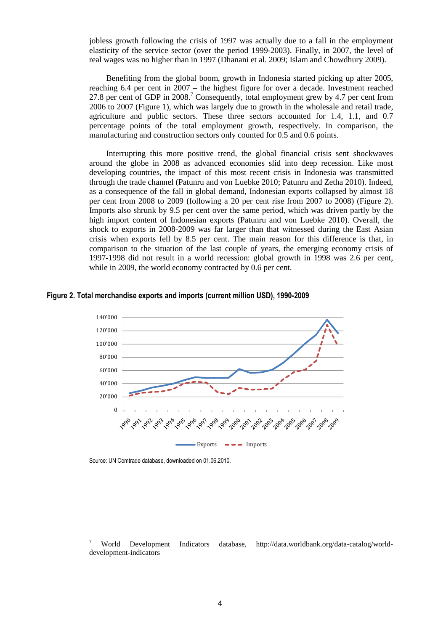jobless growth following the crisis of 1997 was actually due to a fall in the employment elasticity of the service sector (over the period 1999-2003). Finally, in 2007, the level of real wages was no higher than in 1997 (Dhanani et al. 2009; Islam and Chowdhury 2009).

Benefiting from the global boom, growth in Indonesia started picking up after 2005, reaching 6.4 per cent in 2007 – the highest figure for over a decade. Investment reached 27.8 per cent of GDP in  $2008$ .<sup>7</sup> Consequently, total employment grew by 4.7 per cent from 2006 to 2007 (Figure 1), which was largely due to growth in the wholesale and retail trade, agriculture and public sectors. These three sectors accounted for 1.4, 1.1, and 0.7 percentage points of the total employment growth, respectively. In comparison, the manufacturing and construction sectors only counted for 0.5 and 0.6 points.

Interrupting this more positive trend, the global financial crisis sent shockwaves around the globe in 2008 as advanced economies slid into deep recession. Like most developing countries, the impact of this most recent crisis in Indonesia was transmitted through the trade channel (Patunru and von Luebke 2010; Patunru and Zetha 2010). Indeed, as a consequence of the fall in global demand, Indonesian exports collapsed by almost 18 per cent from 2008 to 2009 (following a 20 per cent rise from 2007 to 2008) (Figure 2). Imports also shrunk by 9.5 per cent over the same period, which was driven partly by the high import content of Indonesian exports (Patunru and von Luebke 2010). Overall, the shock to exports in 2008-2009 was far larger than that witnessed during the East Asian crisis when exports fell by 8.5 per cent. The main reason for this difference is that, in comparison to the situation of the last couple of years, the emerging economy crisis of 1997-1998 did not result in a world recession: global growth in 1998 was 2.6 per cent, while in 2009, the world economy contracted by 0.6 per cent.

#### **Figure 2. Total merchandise exports and imports (current million USD), 1990-2009**



Source: UN Comtrade database, downloaded on 01.06.2010.

7 World Development Indicators database, http://data.worldbank.org/data-catalog/worlddevelopment-indicators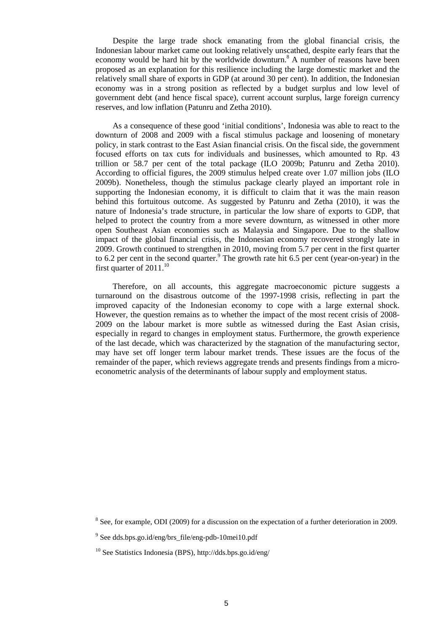Despite the large trade shock emanating from the global financial crisis, the Indonesian labour market came out looking relatively unscathed, despite early fears that the economy would be hard hit by the worldwide downturn.<sup>8</sup> A number of reasons have been proposed as an explanation for this resilience including the large domestic market and the relatively small share of exports in GDP (at around 30 per cent). In addition, the Indonesian economy was in a strong position as reflected by a budget surplus and low level of government debt (and hence fiscal space), current account surplus, large foreign currency reserves, and low inflation (Patunru and Zetha 2010).

As a consequence of these good 'initial conditions', Indonesia was able to react to the downturn of 2008 and 2009 with a fiscal stimulus package and loosening of monetary policy, in stark contrast to the East Asian financial crisis. On the fiscal side, the government focused efforts on tax cuts for individuals and businesses, which amounted to Rp. 43 trillion or 58.7 per cent of the total package (ILO 2009b; Patunru and Zetha 2010). According to official figures, the 2009 stimulus helped create over 1.07 million jobs (ILO 2009b). Nonetheless, though the stimulus package clearly played an important role in supporting the Indonesian economy, it is difficult to claim that it was the main reason behind this fortuitous outcome. As suggested by Patunru and Zetha (2010), it was the nature of Indonesia's trade structure, in particular the low share of exports to GDP, that helped to protect the country from a more severe downturn, as witnessed in other more open Southeast Asian economies such as Malaysia and Singapore. Due to the shallow impact of the global financial crisis, the Indonesian economy recovered strongly late in 2009. Growth continued to strengthen in 2010, moving from 5.7 per cent in the first quarter to 6.2 per cent in the second quarter.<sup>9</sup> The growth rate hit 6.5 per cent (year-on-year) in the first quarter of  $2011$ .<sup>10</sup>

Therefore, on all accounts, this aggregate macroeconomic picture suggests a turnaround on the disastrous outcome of the 1997-1998 crisis, reflecting in part the improved capacity of the Indonesian economy to cope with a large external shock. However, the question remains as to whether the impact of the most recent crisis of 2008- 2009 on the labour market is more subtle as witnessed during the East Asian crisis, especially in regard to changes in employment status. Furthermore, the growth experience of the last decade, which was characterized by the stagnation of the manufacturing sector, may have set off longer term labour market trends. These issues are the focus of the remainder of the paper, which reviews aggregate trends and presents findings from a microeconometric analysis of the determinants of labour supply and employment status.

 $8$  See, for example, ODI (2009) for a discussion on the expectation of a further deterioration in 2009.

<sup>&</sup>lt;sup>9</sup> See dds.bps.go.id/eng/brs\_file/eng-pdb-10mei10.pdf

<sup>10</sup> See Statistics Indonesia (BPS), http://dds.bps.go.id/eng/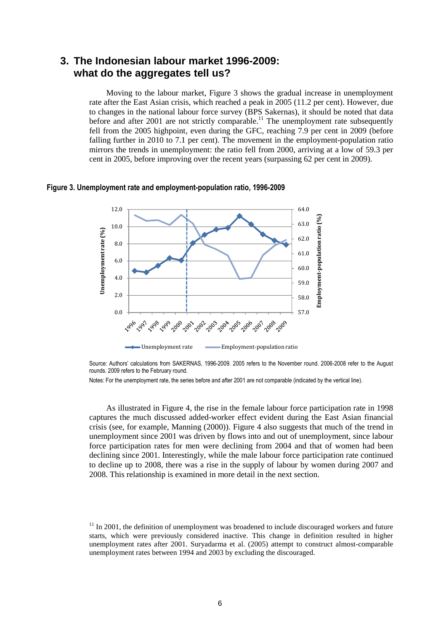### **3. The Indonesian labour market 1996-2009: what do the aggregates tell us?**

Moving to the labour market, Figure 3 shows the gradual increase in unemployment rate after the East Asian crisis, which reached a peak in 2005 (11.2 per cent). However, due to changes in the national labour force survey (BPS Sakernas), it should be noted that data before and after  $2001$  are not strictly comparable.<sup>11</sup> The unemployment rate subsequently fell from the 2005 highpoint, even during the GFC, reaching 7.9 per cent in 2009 (before falling further in 2010 to 7.1 per cent). The movement in the employment-population ratio mirrors the trends in unemployment: the ratio fell from 2000, arriving at a low of 59.3 per cent in 2005, before improving over the recent years (surpassing 62 per cent in 2009).

#### **Figure 3. Unemployment rate and employment-population ratio, 1996-2009**



Source: Authors' calculations from SAKERNAS, 1996-2009. 2005 refers to the November round. 2006-2008 refer to the August rounds. 2009 refers to the February round.

Notes: For the unemployment rate, the series before and after 2001 are not comparable (indicated by the vertical line).

As illustrated in Figure 4, the rise in the female labour force participation rate in 1998 captures the much discussed added-worker effect evident during the East Asian financial crisis (see, for example, Manning (2000)). Figure 4 also suggests that much of the trend in unemployment since 2001 was driven by flows into and out of unemployment, since labour force participation rates for men were declining from 2004 and that of women had been declining since 2001. Interestingly, while the male labour force participation rate continued to decline up to 2008, there was a rise in the supply of labour by women during 2007 and 2008. This relationship is examined in more detail in the next section.

 $11$  In 2001, the definition of unemployment was broadened to include discouraged workers and future starts, which were previously considered inactive. This change in definition resulted in higher unemployment rates after 2001. Suryadarma et al. (2005) attempt to construct almost-comparable unemployment rates between 1994 and 2003 by excluding the discouraged.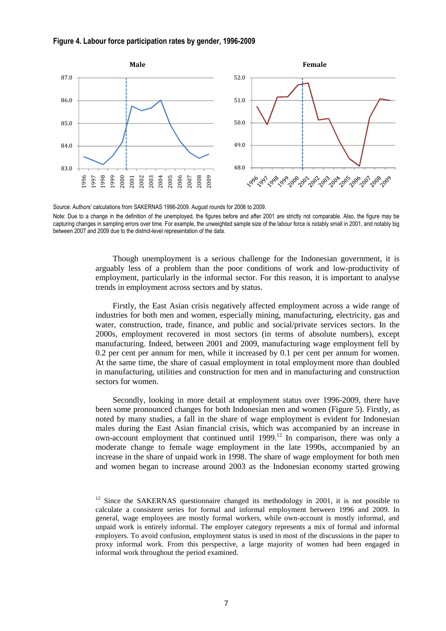#### **Figure 4. Labour force participation rates by gender, 1996-2009**



Source: Authors' calculations from SAKERNAS 1996-2009. August rounds for 2006 to 2009.

Note: Due to a change in the definition of the unemployed, the figures before and after 2001 are strictly not comparable. Also, the figure may be capturing changes in sampling errors over time. For example, the unweighted sample size of the labour force is notably small in 2001, and notably big between 2007 and 2009 due to the district-level representation of the data.

> Though unemployment is a serious challenge for the Indonesian government, it is arguably less of a problem than the poor conditions of work and low-productivity of employment, particularly in the informal sector. For this reason, it is important to analyse trends in employment across sectors and by status.

> Firstly, the East Asian crisis negatively affected employment across a wide range of industries for both men and women, especially mining, manufacturing, electricity, gas and water, construction, trade, finance, and public and social/private services sectors. In the 2000s, employment recovered in most sectors (in terms of absolute numbers), except manufacturing. Indeed, between 2001 and 2009, manufacturing wage employment fell by 0.2 per cent per annum for men, while it increased by 0.1 per cent per annum for women. At the same time, the share of casual employment in total employment more than doubled in manufacturing, utilities and construction for men and in manufacturing and construction sectors for women.

> Secondly, looking in more detail at employment status over 1996-2009, there have been some pronounced changes for both Indonesian men and women (Figure 5). Firstly, as noted by many studies, a fall in the share of wage employment is evident for Indonesian males during the East Asian financial crisis, which was accompanied by an increase in own-account employment that continued until 1999.<sup>12</sup> In comparison, there was only a moderate change to female wage employment in the late 1990s, accompanied by an increase in the share of unpaid work in 1998. The share of wage employment for both men and women began to increase around 2003 as the Indonesian economy started growing

<sup>&</sup>lt;sup>12</sup> Since the SAKERNAS questionnaire changed its methodology in 2001, it is not possible to calculate a consistent series for formal and informal employment between 1996 and 2009. In general, wage employees are mostly formal workers, while own-account is mostly informal, and unpaid work is entirely informal. The employer category represents a mix of formal and informal employers. To avoid confusion, employment status is used in most of the discussions in the paper to proxy informal work. From this perspective, a large majority of women had been engaged in informal work throughout the period examined.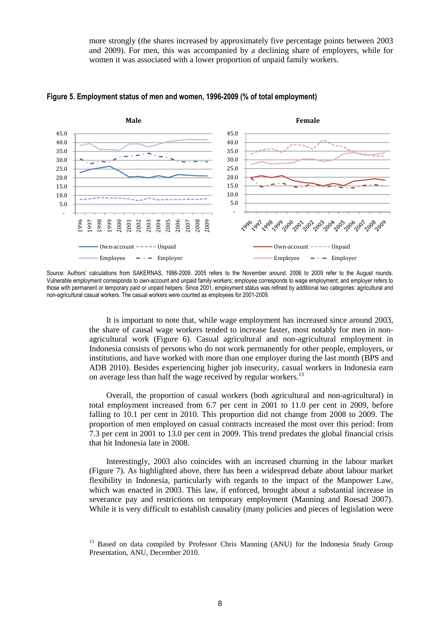more strongly (the shares increased by approximately five percentage points between 2003 and 2009). For men, this was accompanied by a declining share of employers, while for women it was associated with a lower proportion of unpaid family workers.



#### **Figure 5. Employment status of men and women, 1996-2009 (% of total employment)**

Source: Authors' calculations from SAKERNAS, 1996-2009. 2005 refers to the November around. 2006 to 2009 refer to the August rounds. Vulnerable employment corresponds to own-account and unpaid family workers; employee corresponds to wage employment; and employer refers to those with permanent or temporary paid or unpaid helpers. Since 2001, employment status was refined by additional two categories: agricultural and non-agricultural casual workers. The casual workers were counted as employees for 2001-2009.

> It is important to note that, while wage employment has increased since around 2003, the share of causal wage workers tended to increase faster, most notably for men in nonagricultural work (Figure 6). Casual agricultural and non-agricultural employment in Indonesia consists of persons who do not work permanently for other people, employers, or institutions, and have worked with more than one employer during the last month (BPS and ADB 2010). Besides experiencing higher job insecurity, casual workers in Indonesia earn on average less than half the wage received by regular workers.<sup>13</sup>

> Overall, the proportion of casual workers (both agricultural and non-agricultural) in total employment increased from 6.7 per cent in 2001 to 11.0 per cent in 2009, before falling to 10.1 per cent in 2010. This proportion did not change from 2008 to 2009. The proportion of men employed on casual contracts increased the most over this period: from 7.3 per cent in 2001 to 13.0 per cent in 2009. This trend predates the global financial crisis that hit Indonesia late in 2008.

> Interestingly, 2003 also coincides with an increased churning in the labour market (Figure 7). As highlighted above, there has been a widespread debate about labour market flexibility in Indonesia, particularly with regards to the impact of the Manpower Law, which was enacted in 2003. This law, if enforced, brought about a substantial increase in severance pay and restrictions on temporary employment (Manning and Roesad 2007). While it is very difficult to establish causality (many policies and pieces of legislation were

<sup>&</sup>lt;sup>13</sup> Based on data compiled by Professor Chris Manning (ANU) for the Indonesia Study Group Presentation, ANU, December 2010.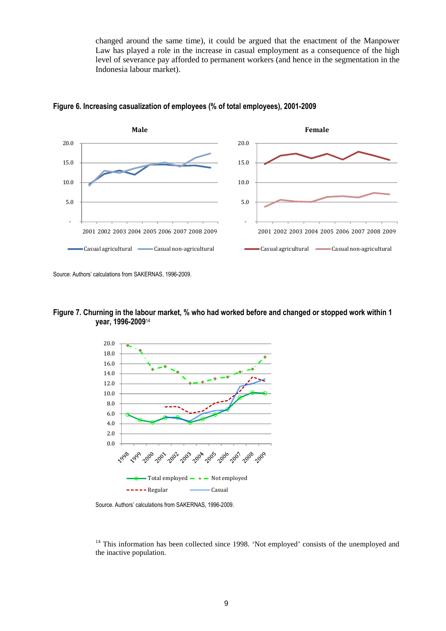changed around the same time), it could be argued that the enactment of the Manpower Law has played a role in the increase in casual employment as a consequence of the high level of severance pay afforded to permanent workers (and hence in the segmentation in the Indonesia labour market).





Source: Authors' calculations from SAKERNAS, 1996-2009.

#### **Figure 7. Churning in the labour market, % who had worked before and changed or stopped work within 1 year, 1996-2009**<sup>14</sup>



Source. Authors' calculations from SAKERNAS, 1996-2009.

<sup>14</sup> This information has been collected since 1998. 'Not employed' consists of the unemployed and the inactive population.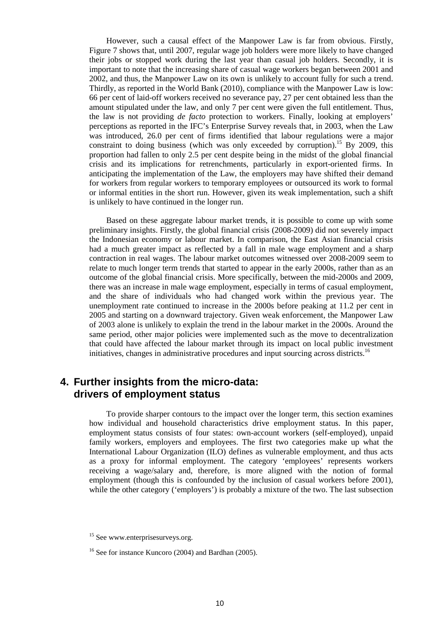However, such a causal effect of the Manpower Law is far from obvious. Firstly, Figure 7 shows that, until 2007, regular wage job holders were more likely to have changed their jobs or stopped work during the last year than casual job holders. Secondly, it is important to note that the increasing share of casual wage workers began between 2001 and 2002, and thus, the Manpower Law on its own is unlikely to account fully for such a trend. Thirdly, as reported in the World Bank (2010), compliance with the Manpower Law is low: 66 per cent of laid-off workers received no severance pay, 27 per cent obtained less than the amount stipulated under the law, and only 7 per cent were given the full entitlement. Thus, the law is not providing *de facto* protection to workers. Finally, looking at employers' perceptions as reported in the IFC's Enterprise Survey reveals that, in 2003, when the Law was introduced, 26.0 per cent of firms identified that labour regulations were a major constraint to doing business (which was only exceeded by corruption).<sup>15</sup> By 2009, this proportion had fallen to only 2.5 per cent despite being in the midst of the global financial crisis and its implications for retrenchments, particularly in export-oriented firms. In anticipating the implementation of the Law, the employers may have shifted their demand for workers from regular workers to temporary employees or outsourced its work to formal or informal entities in the short run. However, given its weak implementation, such a shift is unlikely to have continued in the longer run.

Based on these aggregate labour market trends, it is possible to come up with some preliminary insights. Firstly, the global financial crisis (2008-2009) did not severely impact the Indonesian economy or labour market. In comparison, the East Asian financial crisis had a much greater impact as reflected by a fall in male wage employment and a sharp contraction in real wages. The labour market outcomes witnessed over 2008-2009 seem to relate to much longer term trends that started to appear in the early 2000s, rather than as an outcome of the global financial crisis. More specifically, between the mid-2000s and 2009, there was an increase in male wage employment, especially in terms of casual employment, and the share of individuals who had changed work within the previous year. The unemployment rate continued to increase in the 2000s before peaking at 11.2 per cent in 2005 and starting on a downward trajectory. Given weak enforcement, the Manpower Law of 2003 alone is unlikely to explain the trend in the labour market in the 2000s. Around the same period, other major policies were implemented such as the move to decentralization that could have affected the labour market through its impact on local public investment initiatives, changes in administrative procedures and input sourcing across districts.<sup>16</sup>

### **4. Further insights from the micro-data: drivers of employment status**

To provide sharper contours to the impact over the longer term, this section examines how individual and household characteristics drive employment status. In this paper, employment status consists of four states: own-account workers (self-employed), unpaid family workers, employers and employees. The first two categories make up what the International Labour Organization (ILO) defines as vulnerable employment, and thus acts as a proxy for informal employment. The category 'employees' represents workers receiving a wage/salary and, therefore, is more aligned with the notion of formal employment (though this is confounded by the inclusion of casual workers before 2001), while the other category ('employers') is probably a mixture of the two. The last subsection

 $15$  See www.enterprisesurveys.org.

<sup>&</sup>lt;sup>16</sup> See for instance Kuncoro (2004) and Bardhan (2005).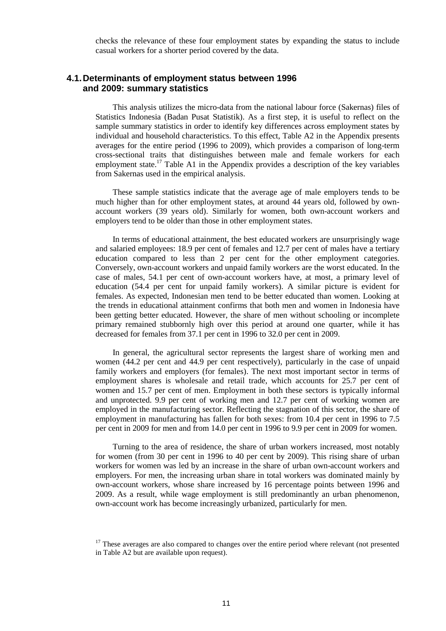checks the relevance of these four employment states by expanding the status to include casual workers for a shorter period covered by the data.

#### **4.1. Determinants of employment status between 1996 and 2009: summary statistics**

This analysis utilizes the micro-data from the national labour force (Sakernas) files of Statistics Indonesia (Badan Pusat Statistik). As a first step, it is useful to reflect on the sample summary statistics in order to identify key differences across employment states by individual and household characteristics. To this effect, Table A2 in the Appendix presents averages for the entire period (1996 to 2009), which provides a comparison of long-term cross-sectional traits that distinguishes between male and female workers for each employment state.<sup>17</sup> Table A1 in the Appendix provides a description of the key variables from Sakernas used in the empirical analysis.

These sample statistics indicate that the average age of male employers tends to be much higher than for other employment states, at around 44 years old, followed by ownaccount workers (39 years old). Similarly for women, both own-account workers and employers tend to be older than those in other employment states.

In terms of educational attainment, the best educated workers are unsurprisingly wage and salaried employees: 18.9 per cent of females and 12.7 per cent of males have a tertiary education compared to less than 2 per cent for the other employment categories. Conversely, own-account workers and unpaid family workers are the worst educated. In the case of males, 54.1 per cent of own-account workers have, at most, a primary level of education (54.4 per cent for unpaid family workers). A similar picture is evident for females. As expected, Indonesian men tend to be better educated than women. Looking at the trends in educational attainment confirms that both men and women in Indonesia have been getting better educated. However, the share of men without schooling or incomplete primary remained stubbornly high over this period at around one quarter, while it has decreased for females from 37.1 per cent in 1996 to 32.0 per cent in 2009.

In general, the agricultural sector represents the largest share of working men and women (44.2 per cent and 44.9 per cent respectively), particularly in the case of unpaid family workers and employers (for females). The next most important sector in terms of employment shares is wholesale and retail trade, which accounts for 25.7 per cent of women and 15.7 per cent of men. Employment in both these sectors is typically informal and unprotected. 9.9 per cent of working men and 12.7 per cent of working women are employed in the manufacturing sector. Reflecting the stagnation of this sector, the share of employment in manufacturing has fallen for both sexes: from 10.4 per cent in 1996 to 7.5 per cent in 2009 for men and from 14.0 per cent in 1996 to 9.9 per cent in 2009 for women.

Turning to the area of residence, the share of urban workers increased, most notably for women (from 30 per cent in 1996 to 40 per cent by 2009). This rising share of urban workers for women was led by an increase in the share of urban own-account workers and employers. For men, the increasing urban share in total workers was dominated mainly by own-account workers, whose share increased by 16 percentage points between 1996 and 2009. As a result, while wage employment is still predominantly an urban phenomenon, own-account work has become increasingly urbanized, particularly for men.

<sup>&</sup>lt;sup>17</sup> These averages are also compared to changes over the entire period where relevant (not presented in Table A2 but are available upon request).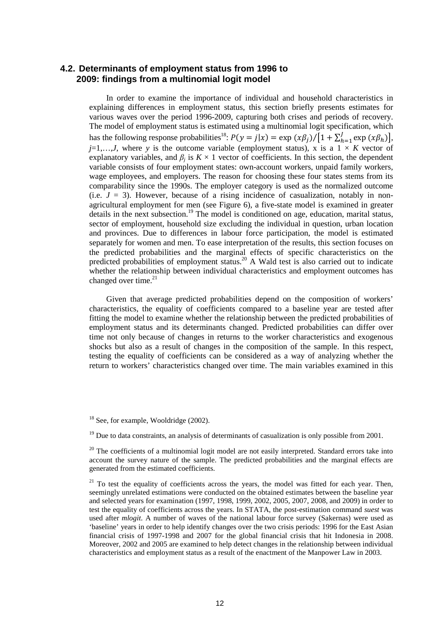### **4.2. Determinants of employment status from 1996 to 2009: findings from a multinomial logit model**

In order to examine the importance of individual and household characteristics in explaining differences in employment status, this section briefly presents estimates for various waves over the period 1996-2009, capturing both crises and periods of recovery. The model of employment status is estimated using a multinomial logit specification, which has the following response probabilities<sup>18</sup>:  $P(y = j|x) = \exp(x\beta_j)/[1 + \sum_{h=1}^{J} \exp(x\beta_h)],$  $j=1,...,J$ , where y is the outcome variable (employment status), x is a  $1 \times K$  vector of explanatory variables, and  $\beta_j$  is  $K \times 1$  vector of coefficients. In this section, the dependent variable consists of four employment states: own-account workers, unpaid family workers, wage employees, and employers. The reason for choosing these four states stems from its comparability since the 1990s. The employer category is used as the normalized outcome (i.e.  $J = 3$ ). However, because of a rising incidence of casualization, notably in nonagricultural employment for men (see Figure 6), a five-state model is examined in greater details in the next subsection.<sup>19</sup> The model is conditioned on age, education, marital status, sector of employment, household size excluding the individual in question, urban location and provinces. Due to differences in labour force participation, the model is estimated separately for women and men. To ease interpretation of the results, this section focuses on the predicted probabilities and the marginal effects of specific characteristics on the predicted probabilities of employment status.<sup>20</sup> A Wald test is also carried out to indicate whether the relationship between individual characteristics and employment outcomes has changed over time. $21$ 

Given that average predicted probabilities depend on the composition of workers' characteristics, the equality of coefficients compared to a baseline year are tested after fitting the model to examine whether the relationship between the predicted probabilities of employment status and its determinants changed. Predicted probabilities can differ over time not only because of changes in returns to the worker characteristics and exogenous shocks but also as a result of changes in the composition of the sample. In this respect, testing the equality of coefficients can be considered as a way of analyzing whether the return to workers' characteristics changed over time. The main variables examined in this

<sup>&</sup>lt;sup>18</sup> See, for example, Wooldridge (2002).

 $19$  Due to data constraints, an analysis of determinants of casualization is only possible from 2001.

 $20$  The coefficients of a multinomial logit model are not easily interpreted. Standard errors take into account the survey nature of the sample. The predicted probabilities and the marginal effects are generated from the estimated coefficients.

 $21$  To test the equality of coefficients across the years, the model was fitted for each year. Then, seemingly unrelated estimations were conducted on the obtained estimates between the baseline year and selected years for examination (1997, 1998, 1999, 2002, 2005, 2007, 2008, and 2009) in order to test the equality of coefficients across the years. In STATA, the post-estimation command *suest* was used after *mlogit*. A number of waves of the national labour force survey (Sakernas) were used as 'baseline' years in order to help identify changes over the two crisis periods: 1996 for the East Asian financial crisis of 1997-1998 and 2007 for the global financial crisis that hit Indonesia in 2008. Moreover, 2002 and 2005 are examined to help detect changes in the relationship between individual characteristics and employment status as a result of the enactment of the Manpower Law in 2003.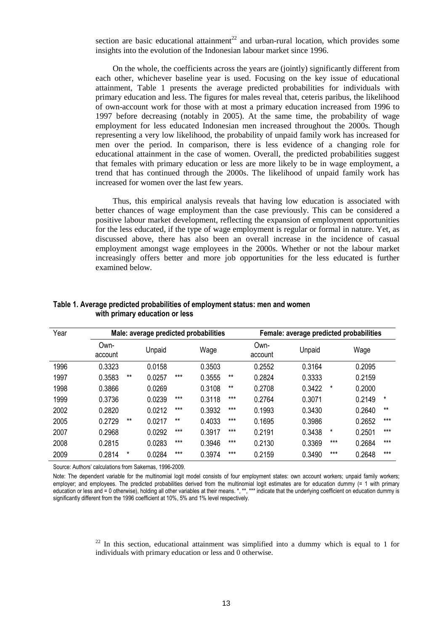section are basic educational attainment<sup>22</sup> and urban-rural location, which provides some insights into the evolution of the Indonesian labour market since 1996.

On the whole, the coefficients across the years are (jointly) significantly different from each other, whichever baseline year is used. Focusing on the key issue of educational attainment, Table 1 presents the average predicted probabilities for individuals with primary education and less. The figures for males reveal that, ceteris paribus, the likelihood of own-account work for those with at most a primary education increased from 1996 to 1997 before decreasing (notably in 2005). At the same time, the probability of wage employment for less educated Indonesian men increased throughout the 2000s. Though representing a very low likelihood, the probability of unpaid family work has increased for men over the period. In comparison, there is less evidence of a changing role for educational attainment in the case of women. Overall, the predicted probabilities suggest that females with primary education or less are more likely to be in wage employment, a trend that has continued through the 2000s. The likelihood of unpaid family work has increased for women over the last few years.

Thus, this empirical analysis reveals that having low education is associated with better chances of wage employment than the case previously. This can be considered a positive labour market development, reflecting the expansion of employment opportunities for the less educated, if the type of wage employment is regular or formal in nature. Yet, as discussed above, there has also been an overall increase in the incidence of casual employment amongst wage employees in the 2000s. Whether or not the labour market increasingly offers better and more job opportunities for the less educated is further examined below.

| Year | Male: average predicted probabilities |       |        |       |        | Female: average predicted probabilities |                 |        |        |        |          |
|------|---------------------------------------|-------|--------|-------|--------|-----------------------------------------|-----------------|--------|--------|--------|----------|
|      | Own-<br>account                       |       | Unpaid |       | Wage   |                                         | Own-<br>account | Unpaid |        | Wage   |          |
| 1996 | 0.3323                                |       | 0.0158 |       | 0.3503 |                                         | 0.2552          | 0.3164 |        | 0.2095 |          |
| 1997 | 0.3583                                | $***$ | 0.0257 | $***$ | 0.3555 | $***$                                   | 0.2824          | 0.3333 |        | 0.2159 |          |
| 1998 | 0.3866                                |       | 0.0269 |       | 0.3108 | $***$                                   | 0.2708          | 0.3422 | $\ast$ | 0.2000 |          |
| 1999 | 0.3736                                |       | 0.0239 | $***$ | 0.3118 | $***$                                   | 0.2764          | 0.3071 |        | 0.2149 | $^\star$ |
| 2002 | 0.2820                                |       | 0.0212 | $***$ | 0.3932 | $***$                                   | 0.1993          | 0.3430 |        | 0.2640 | $***$    |
| 2005 | 0.2729                                | $***$ | 0.0217 | $***$ | 0.4033 | $***$                                   | 0.1695          | 0.3986 |        | 0.2652 | $***$    |
| 2007 | 0.2968                                |       | 0.0292 | $***$ | 0.3917 | $***$                                   | 0.2191          | 0.3438 | $\ast$ | 0.2501 | $***$    |
| 2008 | 0.2815                                |       | 0.0283 | $***$ | 0.3946 | $***$                                   | 0.2130          | 0.3369 | $***$  | 0.2684 | $***$    |
| 2009 | 0.2814                                | *     | 0.0284 | $***$ | 0.3974 | $***$                                   | 0.2159          | 0.3490 | $***$  | 0.2648 | $***$    |

#### **Table 1. Average predicted probabilities of employment status: men and women with primary education or less**

Source: Authors' calculations from Sakernas, 1996-2009.

Note: The dependent variable for the multinomial logit model consists of four employment states: own account workers; unpaid family workers; employer; and employees. The predicted probabilities derived from the multinomial logit estimates are for education dummy (= 1 with primary education or less and = 0 otherwise), holding all other variables at their means. \*, \*\*, \*\*\* indicate that the underlying coefficient on education dummy is significantly different from the 1996 coefficient at 10%, 5% and 1% level respectively.

> $22$  In this section, educational attainment was simplified into a dummy which is equal to 1 for individuals with primary education or less and 0 otherwise.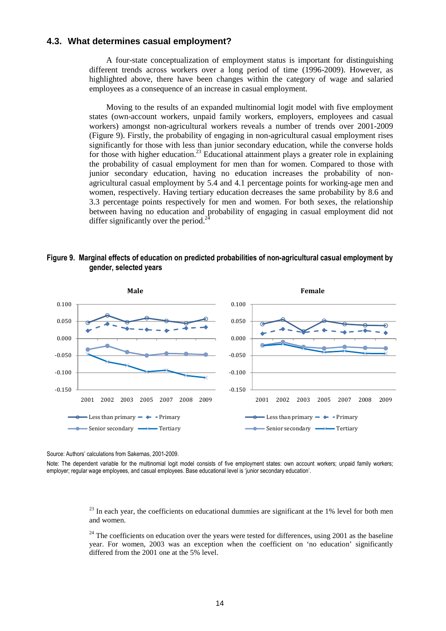#### **4.3. What determines casual employment?**

A four-state conceptualization of employment status is important for distinguishing different trends across workers over a long period of time (1996-2009). However, as highlighted above, there have been changes within the category of wage and salaried employees as a consequence of an increase in casual employment.

Moving to the results of an expanded multinomial logit model with five employment states (own-account workers, unpaid family workers, employers, employees and casual workers) amongst non-agricultural workers reveals a number of trends over 2001-2009 (Figure 9). Firstly, the probability of engaging in non-agricultural casual employment rises significantly for those with less than junior secondary education, while the converse holds for those with higher education.<sup>23</sup> Educational attainment plays a greater role in explaining the probability of casual employment for men than for women. Compared to those with junior secondary education, having no education increases the probability of nonagricultural casual employment by 5.4 and 4.1 percentage points for working-age men and women, respectively. Having tertiary education decreases the same probability by 8.6 and 3.3 percentage points respectively for men and women. For both sexes, the relationship between having no education and probability of engaging in casual employment did not differ significantly over the period.<sup>24</sup>

#### **Figure 9. Marginal effects of education on predicted probabilities of non-agricultural casual employment by gender, selected years**



Source: Authors' calculations from Sakernas, 2001-2009.

Note: The dependent variable for the multinomial logit model consists of five employment states: own account workers; unpaid family workers; employer; regular wage employees, and casual employees. Base educational level is 'junior secondary education'.

> $^{23}$  In each year, the coefficients on educational dummies are significant at the 1% level for both men and women.

> $24$  The coefficients on education over the years were tested for differences, using 2001 as the baseline year. For women, 2003 was an exception when the coefficient on 'no education' significantly differed from the 2001 one at the 5% level.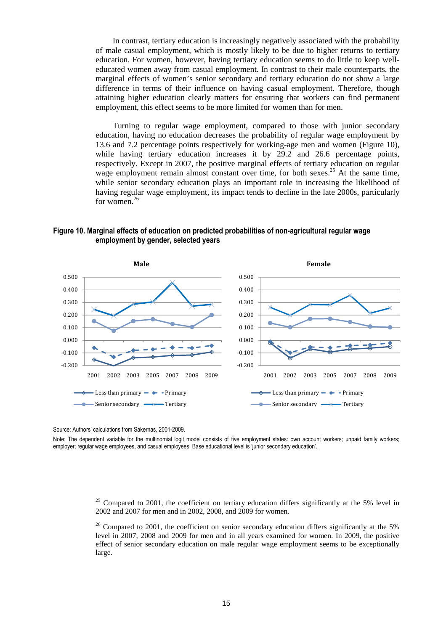In contrast, tertiary education is increasingly negatively associated with the probability of male casual employment, which is mostly likely to be due to higher returns to tertiary education. For women, however, having tertiary education seems to do little to keep welleducated women away from casual employment. In contrast to their male counterparts, the marginal effects of women's senior secondary and tertiary education do not show a large difference in terms of their influence on having casual employment. Therefore, though attaining higher education clearly matters for ensuring that workers can find permanent employment, this effect seems to be more limited for women than for men.

Turning to regular wage employment, compared to those with junior secondary education, having no education decreases the probability of regular wage employment by 13.6 and 7.2 percentage points respectively for working-age men and women (Figure 10), while having tertiary education increases it by 29.2 and 26.6 percentage points, respectively. Except in 2007, the positive marginal effects of tertiary education on regular wage employment remain almost constant over time, for both sexes.<sup>25</sup> At the same time, while senior secondary education plays an important role in increasing the likelihood of having regular wage employment, its impact tends to decline in the late 2000s, particularly for women. $26$ 

**Figure 10. Marginal effects of education on predicted probabilities of non-agricultural regular wage employment by gender, selected years** 



Source: Authors' calculations from Sakernas, 2001-2009.

Note: The dependent variable for the multinomial logit model consists of five employment states: own account workers; unpaid family workers; employer; regular wage employees, and casual employees. Base educational level is 'junior secondary education'.

> <sup>25</sup> Compared to 2001, the coefficient on tertiary education differs significantly at the 5% level in 2002 and 2007 for men and in 2002, 2008, and 2009 for women.

> $26$  Compared to 2001, the coefficient on senior secondary education differs significantly at the 5% level in 2007, 2008 and 2009 for men and in all years examined for women. In 2009, the positive effect of senior secondary education on male regular wage employment seems to be exceptionally large.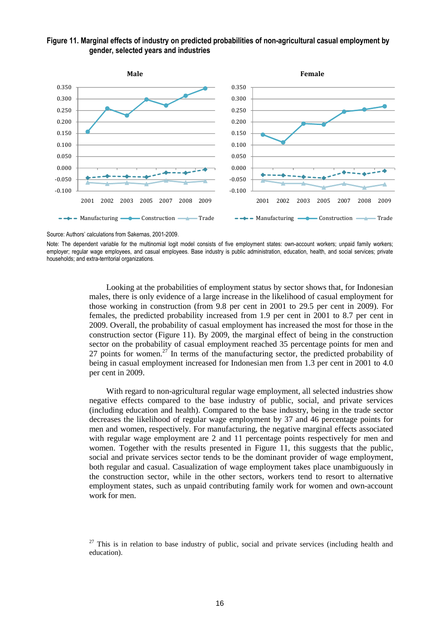#### **Figure 11. Marginal effects of industry on predicted probabilities of non-agricultural casual employment by gender, selected years and industries**



Source: Authors' calculations from Sakernas, 2001-2009.

Note: The dependent variable for the multinomial logit model consists of five employment states: own-account workers: unpaid family workers: employer; regular wage employees, and casual employees. Base industry is public administration, education, health, and social services; private households; and extra-territorial organizations.

> Looking at the probabilities of employment status by sector shows that, for Indonesian males, there is only evidence of a large increase in the likelihood of casual employment for those working in construction (from 9.8 per cent in 2001 to 29.5 per cent in 2009). For females, the predicted probability increased from 1.9 per cent in 2001 to 8.7 per cent in 2009. Overall, the probability of casual employment has increased the most for those in the construction sector (Figure 11). By 2009, the marginal effect of being in the construction sector on the probability of casual employment reached 35 percentage points for men and 27 points for women.<sup>27</sup> In terms of the manufacturing sector, the predicted probability of being in casual employment increased for Indonesian men from 1.3 per cent in 2001 to 4.0 per cent in 2009.

> With regard to non-agricultural regular wage employment, all selected industries show negative effects compared to the base industry of public, social, and private services (including education and health). Compared to the base industry, being in the trade sector decreases the likelihood of regular wage employment by 37 and 46 percentage points for men and women, respectively. For manufacturing, the negative marginal effects associated with regular wage employment are 2 and 11 percentage points respectively for men and women. Together with the results presented in Figure 11, this suggests that the public, social and private services sector tends to be the dominant provider of wage employment, both regular and casual. Casualization of wage employment takes place unambiguously in the construction sector, while in the other sectors, workers tend to resort to alternative employment states, such as unpaid contributing family work for women and own-account work for men.

 $27$  This is in relation to base industry of public, social and private services (including health and education).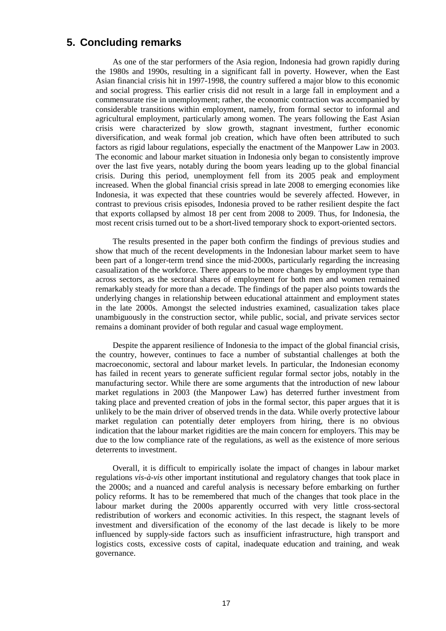### **5. Concluding remarks**

As one of the star performers of the Asia region, Indonesia had grown rapidly during the 1980s and 1990s, resulting in a significant fall in poverty. However, when the East Asian financial crisis hit in 1997-1998, the country suffered a major blow to this economic and social progress. This earlier crisis did not result in a large fall in employment and a commensurate rise in unemployment; rather, the economic contraction was accompanied by considerable transitions within employment, namely, from formal sector to informal and agricultural employment, particularly among women. The years following the East Asian crisis were characterized by slow growth, stagnant investment, further economic diversification, and weak formal job creation, which have often been attributed to such factors as rigid labour regulations, especially the enactment of the Manpower Law in 2003. The economic and labour market situation in Indonesia only began to consistently improve over the last five years, notably during the boom years leading up to the global financial crisis. During this period, unemployment fell from its 2005 peak and employment increased. When the global financial crisis spread in late 2008 to emerging economies like Indonesia, it was expected that these countries would be severely affected. However, in contrast to previous crisis episodes, Indonesia proved to be rather resilient despite the fact that exports collapsed by almost 18 per cent from 2008 to 2009. Thus, for Indonesia, the most recent crisis turned out to be a short-lived temporary shock to export-oriented sectors.

The results presented in the paper both confirm the findings of previous studies and show that much of the recent developments in the Indonesian labour market seem to have been part of a longer-term trend since the mid-2000s, particularly regarding the increasing casualization of the workforce. There appears to be more changes by employment type than across sectors, as the sectoral shares of employment for both men and women remained remarkably steady for more than a decade. The findings of the paper also points towards the underlying changes in relationship between educational attainment and employment states in the late 2000s. Amongst the selected industries examined, casualization takes place unambiguously in the construction sector, while public, social, and private services sector remains a dominant provider of both regular and casual wage employment.

Despite the apparent resilience of Indonesia to the impact of the global financial crisis, the country, however, continues to face a number of substantial challenges at both the macroeconomic, sectoral and labour market levels. In particular, the Indonesian economy has failed in recent years to generate sufficient regular formal sector jobs, notably in the manufacturing sector. While there are some arguments that the introduction of new labour market regulations in 2003 (the Manpower Law) has deterred further investment from taking place and prevented creation of jobs in the formal sector, this paper argues that it is unlikely to be the main driver of observed trends in the data. While overly protective labour market regulation can potentially deter employers from hiring, there is no obvious indication that the labour market rigidities are the main concern for employers. This may be due to the low compliance rate of the regulations, as well as the existence of more serious deterrents to investment.

Overall, it is difficult to empirically isolate the impact of changes in labour market regulations *vis-à-vis* other important institutional and regulatory changes that took place in the 2000s; and a nuanced and careful analysis is necessary before embarking on further policy reforms. It has to be remembered that much of the changes that took place in the labour market during the 2000s apparently occurred with very little cross-sectoral redistribution of workers and economic activities. In this respect, the stagnant levels of investment and diversification of the economy of the last decade is likely to be more influenced by supply-side factors such as insufficient infrastructure, high transport and logistics costs, excessive costs of capital, inadequate education and training, and weak governance.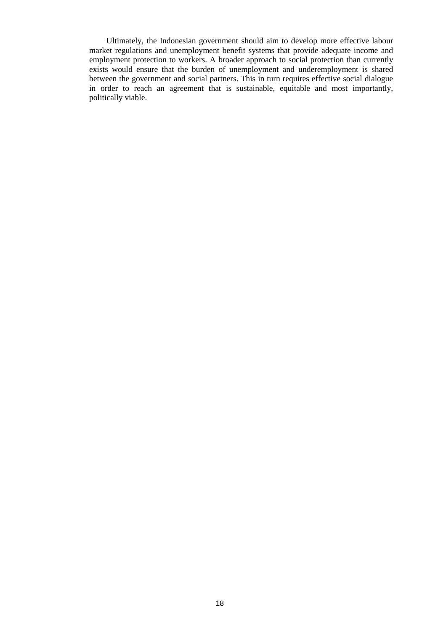Ultimately, the Indonesian government should aim to develop more effective labour market regulations and unemployment benefit systems that provide adequate income and employment protection to workers. A broader approach to social protection than currently exists would ensure that the burden of unemployment and underemployment is shared between the government and social partners. This in turn requires effective social dialogue in order to reach an agreement that is sustainable, equitable and most importantly, politically viable.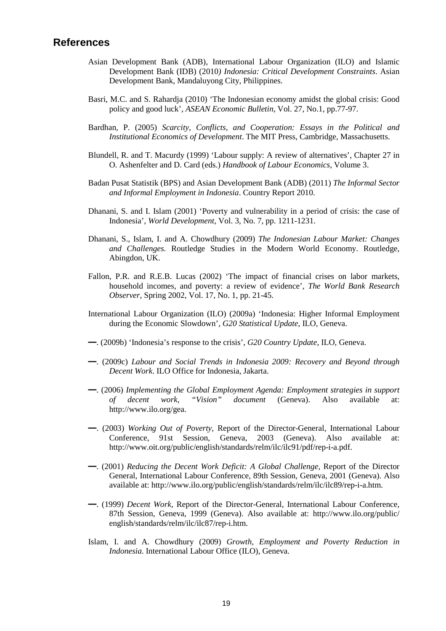### **References**

- Asian Development Bank (ADB), International Labour Organization (ILO) and Islamic Development Bank (IDB) (2010*) Indonesia: Critical Development Constraints*. Asian Development Bank, Mandaluyong City, Philippines.
- Basri, M.C. and S. Rahardja (2010) 'The Indonesian economy amidst the global crisis: Good policy and good luck', *ASEAN Economic Bulletin*, Vol. 27, No.1, pp.77-97.
- Bardhan, P. (2005) *Scarcity, Conflicts, and Cooperation: Essays in the Political and Institutional Economics of Development*. The MIT Press, Cambridge, Massachusetts.
- Blundell, R. and T. Macurdy (1999) 'Labour supply: A review of alternatives', Chapter 27 in O. Ashenfelter and D. Card (eds.) *Handbook of Labour Economics*, Volume 3.
- Badan Pusat Statistik (BPS) and Asian Development Bank (ADB) (2011) *The Informal Sector and Informal Employment in Indonesia*. Country Report 2010.
- Dhanani, S. and I. Islam (2001) 'Poverty and vulnerability in a period of crisis: the case of Indonesia', *World Development*, Vol. 3, No. 7, pp. 1211-1231.
- Dhanani, S., Islam, I. and A. Chowdhury (2009) *The Indonesian Labour Market: Changes and Challenges.* Routledge Studies in the Modern World Economy. Routledge, Abingdon, UK.
- Fallon, P.R. and R.E.B. Lucas (2002) 'The impact of financial crises on labor markets, household incomes, and poverty: a review of evidence', *The World Bank Research Observer*, Spring 2002, Vol. 17, No. 1, pp. 21-45.
- International Labour Organization (ILO) (2009a) 'Indonesia: Higher Informal Employment during the Economic Slowdown', *G20 Statistical Update*, ILO, Geneva.
- —. (2009b) 'Indonesia's response to the crisis', *G20 Country Update*, ILO, Geneva.
- —. (2009c) *Labour and Social Trends in Indonesia 2009: Recovery and Beyond through Decent Work*. ILO Office for Indonesia, Jakarta.
- —. (2006) *Implementing the Global Employment Agenda: Employment strategies in support of decent work, "Vision" document* (Geneva). Also available at: http://www.ilo.org/gea.
- —. (2003) *Working Out of Poverty,* Report of the Director-General, International Labour Conference, 91st Session, Geneva, 2003 (Geneva). Also available at: http://www.oit.org/public/english/standards/relm/ilc/ilc91/pdf/rep-i-a.pdf.
- —. (2001) *Reducing the Decent Work Deficit: A Global Challenge,* Report of the Director General, International Labour Conference, 89th Session, Geneva, 2001 (Geneva). Also available at: http://www.ilo.org/public/english/standards/relm/ilc/ilc89/rep-i-a.htm.
- —. (1999) *Decent Work,* Report of the Director-General, International Labour Conference, 87th Session, Geneva, 1999 (Geneva). Also available at: http://www.ilo.org/public/ english/standards/relm/ilc/ilc87/rep-i.htm.
- Islam, I. and A. Chowdhury (2009) *Growth, Employment and Poverty Reduction in Indonesia*. International Labour Office (ILO), Geneva.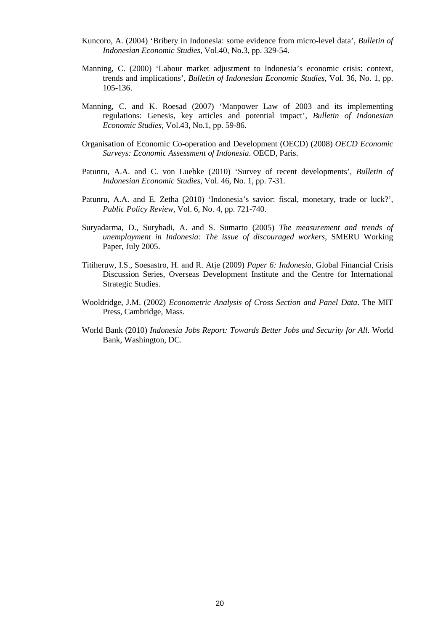- Kuncoro, A. (2004) 'Bribery in Indonesia: some evidence from micro-level data', *Bulletin of Indonesian Economic Studies,* Vol.40, No.3, pp. 329-54.
- Manning, C. (2000) 'Labour market adjustment to Indonesia's economic crisis: context, trends and implications', *Bulletin of Indonesian Economic Studies*, Vol. 36, No. 1, pp. 105-136.
- Manning, C. and K. Roesad (2007) 'Manpower Law of 2003 and its implementing regulations: Genesis, key articles and potential impact', *Bulletin of Indonesian Economic Studies*, Vol.43, No.1, pp. 59-86.
- Organisation of Economic Co-operation and Development (OECD) (2008) *OECD Economic Surveys: Economic Assessment of Indonesia*. OECD, Paris.
- Patunru, A.A. and C. von Luebke (2010) 'Survey of recent developments', *Bulletin of Indonesian Economic Studies*, Vol. 46, No. 1, pp. 7-31.
- Patunru, A.A. and E. Zetha (2010) 'Indonesia's savior: fiscal, monetary, trade or luck?', *Public Policy Review*, Vol. 6, No. 4, pp. 721-740.
- Suryadarma, D., Suryhadi, A. and S. Sumarto (2005) *The measurement and trends of unemployment in Indonesia: The issue of discouraged workers*, SMERU Working Paper, July 2005.
- Titiheruw, I.S., Soesastro, H. and R. Atje (2009) *Paper 6: Indonesia*, Global Financial Crisis Discussion Series, Overseas Development Institute and the Centre for International Strategic Studies.
- Wooldridge, J.M. (2002) *Econometric Analysis of Cross Section and Panel Data*. The MIT Press, Cambridge, Mass.
- World Bank (2010) *Indonesia Jobs Report: Towards Better Jobs and Security for All*. World Bank, Washington, DC.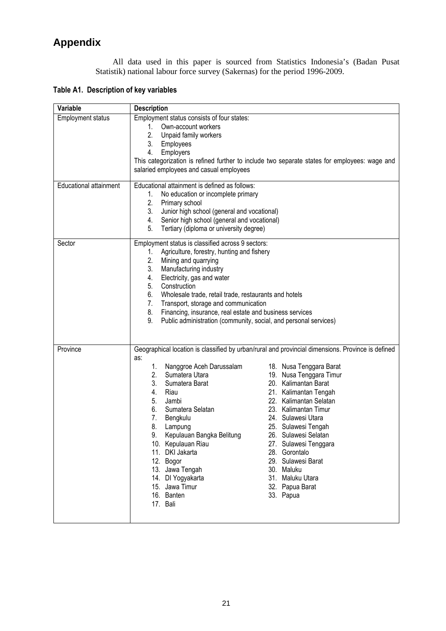# **Appendix**

All data used in this paper is sourced from Statistics Indonesia's (Badan Pusat Statistik) national labour force survey (Sakernas) for the period 1996-2009.

**Table A1. Description of key variables** 

| Variable                      | <b>Description</b>                                                                                |  |  |  |  |  |  |  |
|-------------------------------|---------------------------------------------------------------------------------------------------|--|--|--|--|--|--|--|
| <b>Employment status</b>      | Employment status consists of four states:                                                        |  |  |  |  |  |  |  |
|                               | Own-account workers<br>1.                                                                         |  |  |  |  |  |  |  |
|                               | 2.<br>Unpaid family workers                                                                       |  |  |  |  |  |  |  |
|                               | 3.<br>Employees                                                                                   |  |  |  |  |  |  |  |
|                               | 4.<br>Employers                                                                                   |  |  |  |  |  |  |  |
|                               | This categorization is refined further to include two separate states for employees: wage and     |  |  |  |  |  |  |  |
|                               | salaried employees and casual employees                                                           |  |  |  |  |  |  |  |
| <b>Educational attainment</b> | Educational attainment is defined as follows:                                                     |  |  |  |  |  |  |  |
|                               | 1.<br>No education or incomplete primary                                                          |  |  |  |  |  |  |  |
|                               | 2.<br>Primary school                                                                              |  |  |  |  |  |  |  |
|                               | Junior high school (general and vocational)<br>3.                                                 |  |  |  |  |  |  |  |
|                               | Senior high school (general and vocational)<br>4.                                                 |  |  |  |  |  |  |  |
|                               | Tertiary (diploma or university degree)<br>5.                                                     |  |  |  |  |  |  |  |
| Sector                        | Employment status is classified across 9 sectors:                                                 |  |  |  |  |  |  |  |
|                               | Agriculture, forestry, hunting and fishery<br>1.                                                  |  |  |  |  |  |  |  |
|                               | 2.<br>Mining and quarrying                                                                        |  |  |  |  |  |  |  |
|                               | 3.<br>Manufacturing industry<br>Electricity, gas and water                                        |  |  |  |  |  |  |  |
|                               | 4.<br>Construction<br>5.                                                                          |  |  |  |  |  |  |  |
|                               | 6.<br>Wholesale trade, retail trade, restaurants and hotels                                       |  |  |  |  |  |  |  |
|                               | 7.<br>Transport, storage and communication                                                        |  |  |  |  |  |  |  |
|                               | 8.<br>Financing, insurance, real estate and business services                                     |  |  |  |  |  |  |  |
|                               | 9.<br>Public administration (community, social, and personal services)                            |  |  |  |  |  |  |  |
|                               |                                                                                                   |  |  |  |  |  |  |  |
|                               |                                                                                                   |  |  |  |  |  |  |  |
| Province                      | Geographical location is classified by urban/rural and provincial dimensions. Province is defined |  |  |  |  |  |  |  |
|                               | as:<br>Nanggroe Aceh Darussalam<br>1.                                                             |  |  |  |  |  |  |  |
|                               | 18. Nusa Tenggara Barat<br>2.<br>Sumatera Utara<br>19. Nusa Tenggara Timur                        |  |  |  |  |  |  |  |
|                               | 20. Kalimantan Barat<br>3.<br>Sumatera Barat                                                      |  |  |  |  |  |  |  |
|                               | Riau<br>21. Kalimantan Tengah<br>4.                                                               |  |  |  |  |  |  |  |
|                               | 5.<br>22. Kalimantan Selatan<br>Jambi                                                             |  |  |  |  |  |  |  |
|                               | Sumatera Selatan<br>23. Kalimantan Timur<br>6.                                                    |  |  |  |  |  |  |  |
|                               | 24. Sulawesi Utara<br>7.<br>Bengkulu                                                              |  |  |  |  |  |  |  |
|                               | 8.<br>Lampung<br>25. Sulawesi Tengah                                                              |  |  |  |  |  |  |  |
|                               | 9.<br>Kepulauan Bangka Belitung<br>26. Sulawesi Selatan                                           |  |  |  |  |  |  |  |
|                               | 10. Kepulauan Riau<br>27. Sulawesi Tenggara                                                       |  |  |  |  |  |  |  |
|                               | 11. DKI Jakarta<br>28. Gorontalo                                                                  |  |  |  |  |  |  |  |
|                               | 12. Bogor<br>29. Sulawesi Barat                                                                   |  |  |  |  |  |  |  |
|                               | 13. Jawa Tengah<br>30. Maluku                                                                     |  |  |  |  |  |  |  |
|                               | 31. Maluku Utara<br>14. DI Yogyakarta                                                             |  |  |  |  |  |  |  |
|                               | 32. Papua Barat<br>15. Jawa Timur                                                                 |  |  |  |  |  |  |  |
|                               | 16. Banten<br>33. Papua                                                                           |  |  |  |  |  |  |  |
|                               | 17. Bali                                                                                          |  |  |  |  |  |  |  |
|                               |                                                                                                   |  |  |  |  |  |  |  |
|                               |                                                                                                   |  |  |  |  |  |  |  |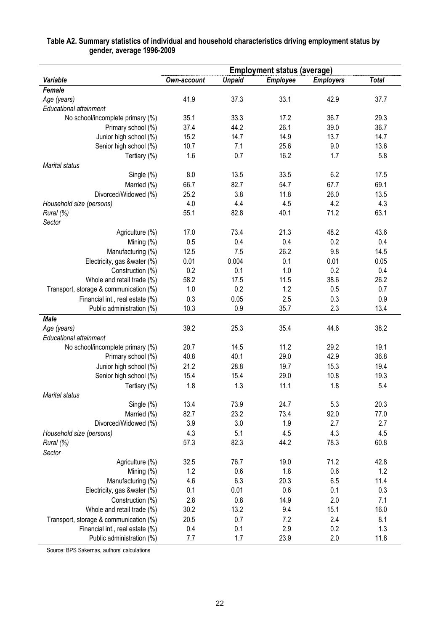|                                        | <b>Employment status (average)</b> |               |                 |                  |              |  |
|----------------------------------------|------------------------------------|---------------|-----------------|------------------|--------------|--|
| <b>Variable</b>                        | <b>Own-account</b>                 | <b>Unpaid</b> | <b>Employee</b> | <b>Employers</b> | <b>Total</b> |  |
| Female                                 |                                    |               |                 |                  |              |  |
| Age (years)                            | 41.9                               | 37.3          | 33.1            | 42.9             | 37.7         |  |
| <b>Educational attainment</b>          |                                    |               |                 |                  |              |  |
| No school/incomplete primary (%)       | 35.1                               | 33.3          | 17.2            | 36.7             | 29.3         |  |
| Primary school (%)                     | 37.4                               | 44.2          | 26.1            | 39.0             | 36.7         |  |
| Junior high school (%)                 | 15.2                               | 14.7          | 14.9            | 13.7             | 14.7         |  |
| Senior high school (%)                 | 10.7                               | 7.1           | 25.6            | 9.0              | 13.6         |  |
| Tertiary (%)                           | 1.6                                | 0.7           | 16.2            | 1.7              | 5.8          |  |
| <b>Marital status</b>                  |                                    |               |                 |                  |              |  |
| Single (%)                             | 8.0                                | 13.5          | 33.5            | 6.2              | 17.5         |  |
| Married (%)                            | 66.7                               | 82.7          | 54.7            | 67.7             | 69.1         |  |
| Divorced/Widowed (%)                   | 25.2                               | 3.8           | 11.8            | 26.0             | 13.5         |  |
| Household size (persons)               | 4.0                                | 4.4           | 4.5             | 4.2              | 4.3          |  |
| Rural (%)                              | 55.1                               | 82.8          | 40.1            | 71.2             | 63.1         |  |
| Sector                                 |                                    |               |                 |                  |              |  |
| Agriculture (%)                        | 17.0                               | 73.4          | 21.3            | 48.2             | 43.6         |  |
| Mining (%)                             | 0.5                                | 0.4           | 0.4             | 0.2              | 0.4          |  |
| Manufacturing (%)                      | 12.5                               | 7.5           | 26.2            | 9.8              | 14.5         |  |
| Electricity, gas &water (%)            | 0.01                               | 0.004         | 0.1             | 0.01             | 0.05         |  |
| Construction (%)                       | 0.2                                | 0.1           | 1.0             | 0.2              | 0.4          |  |
| Whole and retail trade (%)             | 58.2                               | 17.5          | 11.5            | 38.6             | 26.2         |  |
| Transport, storage & communication (%) | 1.0                                | 0.2           | 1.2             | 0.5              | 0.7          |  |
| Financial int., real estate (%)        | 0.3                                | 0.05          | 2.5             | 0.3              | 0.9          |  |
| Public administration (%)              | 10.3                               | 0.9           | 35.7            | 2.3              | 13.4         |  |
| <b>Male</b>                            |                                    |               |                 |                  |              |  |
| Age (years)                            | 39.2                               | 25.3          | 35.4            | 44.6             | 38.2         |  |
| <b>Educational attainment</b>          |                                    |               |                 |                  |              |  |
| No school/incomplete primary (%)       | 20.7                               | 14.5          | 11.2            | 29.2             | 19.1         |  |
| Primary school (%)                     | 40.8                               | 40.1          | 29.0            | 42.9             | 36.8         |  |
| Junior high school (%)                 | 21.2                               | 28.8          | 19.7            | 15.3             | 19.4         |  |
| Senior high school (%)                 | 15.4                               | 15.4          | 29.0            | 10.8             | 19.3         |  |
| Tertiary (%)                           | 1.8                                | 1.3           | 11.1            | 1.8              | 5.4          |  |
| <b>Marital status</b>                  |                                    |               |                 |                  |              |  |
| Single (%)                             | 13.4                               | 73.9          | 24.7            | 5.3              | 20.3         |  |
| Married (%)                            | 82.7                               | 23.2          | 73.4            | 92.0             | 77.0         |  |
| Divorced/Widowed (%)                   | 3.9                                | 3.0           | 1.9             | 2.7              | 2.7          |  |
| Household size (persons)               | 4.3                                | 5.1           | 4.5             | 4.3              | 4.5          |  |
|                                        | 57.3                               | 82.3          | 44.2            | 78.3             | 60.8         |  |
| Rural (%)                              |                                    |               |                 |                  |              |  |
| Sector                                 |                                    |               |                 |                  |              |  |
| Agriculture (%)                        | 32.5                               | 76.7          | 19.0            | 71.2             | 42.8         |  |
| Mining (%)                             | 1.2                                | 0.6           | 1.8             | 0.6              | 1.2          |  |
| Manufacturing (%)                      | 4.6                                | 6.3           | 20.3            | 6.5              | 11.4         |  |
| Electricity, gas &water (%)            | 0.1                                | 0.01          | 0.6             | 0.1              | 0.3          |  |
| Construction (%)                       | 2.8                                | 0.8           | 14.9            | 2.0              | 7.1          |  |
| Whole and retail trade (%)             | 30.2                               | 13.2          | 9.4             | 15.1             | 16.0         |  |
| Transport, storage & communication (%) | 20.5                               | 0.7           | 7.2             | 2.4              | 8.1          |  |
| Financial int., real estate (%)        | 0.4                                | 0.1           | 2.9             | 0.2              | 1.3          |  |
| Public administration (%)              | 7.7                                | 1.7           | 23.9            | 2.0              | 11.8         |  |

### **Table A2. Summary statistics of individual and household characteristics driving employment status by gender, average 1996-2009**

Source: BPS Sakernas, authors' calculations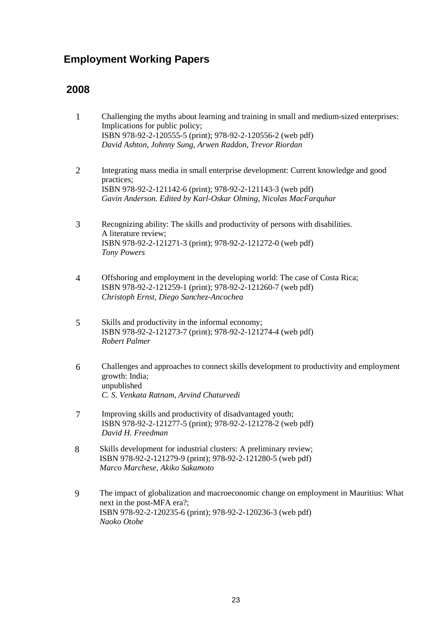## **Employment Working Papers**

- 1 Challenging the myths about learning and training in small and medium-sized enterprises: Implications for public policy; ISBN 978-92-2-120555-5 (print); 978-92-2-120556-2 (web pdf) *David Ashton, Johnny Sung, Arwen Raddon, Trevor Riordan*
- 2 Integrating mass media in small enterprise development: Current knowledge and good practices; ISBN 978-92-2-121142-6 (print); 978-92-2-121143-3 (web pdf) *Gavin Anderson. Edited by Karl-Oskar Olming, Nicolas MacFarquhar*
- 3 Recognizing ability: The skills and productivity of persons with disabilities. A literature review; ISBN 978-92-2-121271-3 (print); 978-92-2-121272-0 (web pdf) *Tony Powers*
- 4 Offshoring and employment in the developing world: The case of Costa Rica; ISBN 978-92-2-121259-1 (print); 978-92-2-121260-7 (web pdf) *Christoph Ernst, Diego Sanchez-Ancochea*
- 5 Skills and productivity in the informal economy; ISBN 978-92-2-121273-7 (print); 978-92-2-121274-4 (web pdf) *Robert Palmer*
- 6 Challenges and approaches to connect skills development to productivity and employment growth: India; unpublished *C. S. Venkata Ratnam, Arvind Chaturvedi*
- 7 Improving skills and productivity of disadvantaged youth; ISBN 978-92-2-121277-5 (print); 978-92-2-121278-2 (web pdf) *David H. Freedman*
- 8 Skills development for industrial clusters: A preliminary review; ISBN 978-92-2-121279-9 (print); 978-92-2-121280-5 (web pdf) *Marco Marchese, Akiko Sakamoto*
- 9 The impact of globalization and macroeconomic change on employment in Mauritius: What next in the post-MFA era?; ISBN 978-92-2-120235-6 (print); 978-92-2-120236-3 (web pdf) *Naoko Otobe*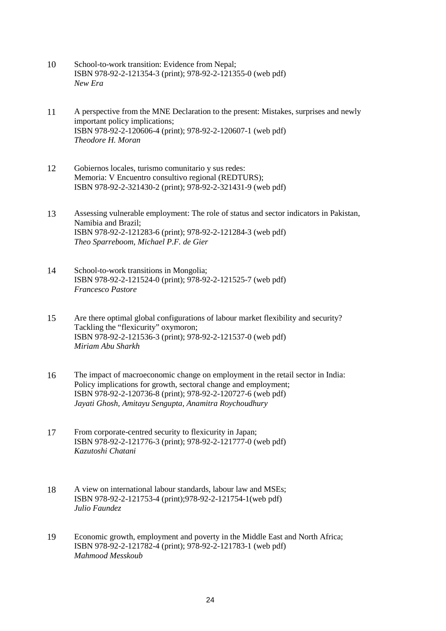- 10 School-to-work transition: Evidence from Nepal; ISBN 978-92-2-121354-3 (print); 978-92-2-121355-0 (web pdf) *New Era*
- 11 A perspective from the MNE Declaration to the present: Mistakes, surprises and newly important policy implications; ISBN 978-92-2-120606-4 (print); 978-92-2-120607-1 (web pdf) *Theodore H. Moran*
- 12 Gobiernos locales, turismo comunitario y sus redes: Memoria: V Encuentro consultivo regional (REDTURS); ISBN 978-92-2-321430-2 (print); 978-92-2-321431-9 (web pdf)
- 13 Assessing vulnerable employment: The role of status and sector indicators in Pakistan, Namibia and Brazil; ISBN 978-92-2-121283-6 (print); 978-92-2-121284-3 (web pdf) *Theo Sparreboom, Michael P.F. de Gier*
- 14 School-to-work transitions in Mongolia; ISBN 978-92-2-121524-0 (print); 978-92-2-121525-7 (web pdf) *Francesco Pastore*
- 15 Are there optimal global configurations of labour market flexibility and security? Tackling the "flexicurity" oxymoron; ISBN 978-92-2-121536-3 (print); 978-92-2-121537-0 (web pdf) *Miriam Abu Sharkh*
- 16 The impact of macroeconomic change on employment in the retail sector in India: Policy implications for growth, sectoral change and employment; ISBN 978-92-2-120736-8 (print); 978-92-2-120727-6 (web pdf) *Jayati Ghosh, Amitayu Sengupta, Anamitra Roychoudhury*
- 17 From corporate-centred security to flexicurity in Japan; ISBN 978-92-2-121776-3 (print); 978-92-2-121777-0 (web pdf) *Kazutoshi Chatani*
- 18 A view on international labour standards, labour law and MSEs; ISBN 978-92-2-121753-4 (print);978-92-2-121754-1(web pdf) *Julio Faundez*
- 19 Economic growth, employment and poverty in the Middle East and North Africa; ISBN 978-92-2-121782-4 (print); 978-92-2-121783-1 (web pdf) *Mahmood Messkoub*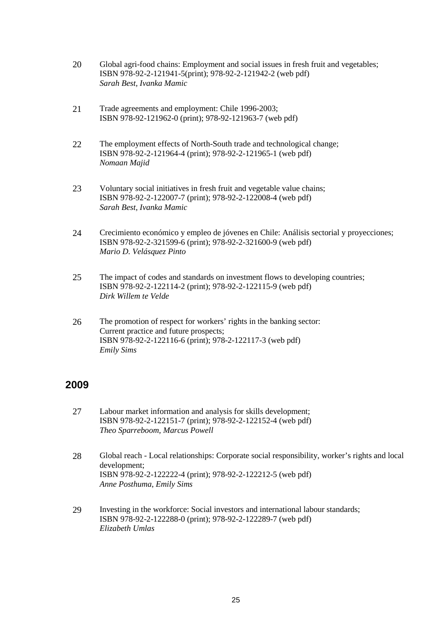- 20 Global agri-food chains: Employment and social issues in fresh fruit and vegetables; ISBN 978-92-2-121941-5(print); 978-92-2-121942-2 (web pdf) *Sarah Best, Ivanka Mamic*
- 21 Trade agreements and employment: Chile 1996-2003; ISBN 978-92-121962-0 (print); 978-92-121963-7 (web pdf)
- 22 The employment effects of North-South trade and technological change; ISBN 978-92-2-121964-4 (print); 978-92-2-121965-1 (web pdf) *Nomaan Majid*
- 23 Voluntary social initiatives in fresh fruit and vegetable value chains; ISBN 978-92-2-122007-7 (print); 978-92-2-122008-4 (web pdf) *Sarah Best, Ivanka Mamic*
- 24 Crecimiento económico y empleo de jóvenes en Chile: Análisis sectorial y proyecciones; ISBN 978-92-2-321599-6 (print); 978-92-2-321600-9 (web pdf) *Mario D. Velásquez Pinto*
- 25 The impact of codes and standards on investment flows to developing countries; ISBN 978-92-2-122114-2 (print); 978-92-2-122115-9 (web pdf) *Dirk Willem te Velde*
- 26 The promotion of respect for workers' rights in the banking sector: Current practice and future prospects; ISBN 978-92-2-122116-6 (print); 978-2-122117-3 (web pdf) *Emily Sims*

- 27 Labour market information and analysis for skills development; ISBN 978-92-2-122151-7 (print); 978-92-2-122152-4 (web pdf) *Theo Sparreboom, Marcus Powell*
- 28 Global reach Local relationships: Corporate social responsibility, worker's rights and local development; ISBN 978-92-2-122222-4 (print); 978-92-2-122212-5 (web pdf) *Anne Posthuma*, *Emily Sims*
- 29 Investing in the workforce: Social investors and international labour standards; ISBN 978-92-2-122288-0 (print); 978-92-2-122289-7 (web pdf) *Elizabeth Umlas*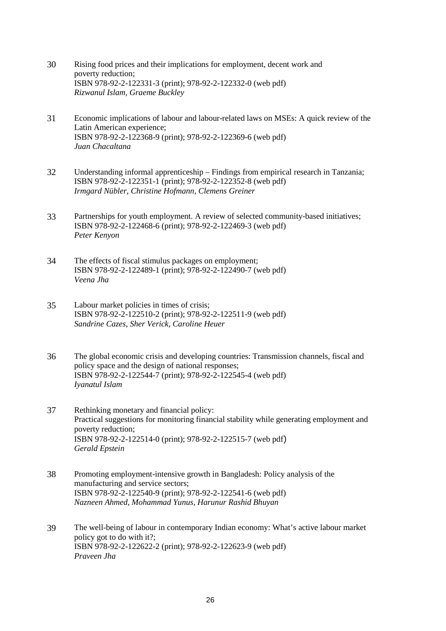- 30 Rising food prices and their implications for employment, decent work and poverty reduction; ISBN 978-92-2-122331-3 (print); 978-92-2-122332-0 (web pdf) *Rizwanul Islam, Graeme Buckley*
- 31 Economic implications of labour and labour-related laws on MSEs: A quick review of the Latin American experience; ISBN 978-92-2-122368-9 (print); 978-92-2-122369-6 (web pdf) *Juan Chacaltana*
- 32 Understanding informal apprenticeship Findings from empirical research in Tanzania; ISBN 978-92-2-122351-1 (print); 978-92-2-122352-8 (web pdf) *Irmgard Nübler, Christine Hofmann, Clemens Greiner*
- 33 Partnerships for youth employment. A review of selected community-based initiatives; ISBN 978-92-2-122468-6 (print); 978-92-2-122469-3 (web pdf) *Peter Kenyon*
- 34 The effects of fiscal stimulus packages on employment; ISBN 978-92-2-122489-1 (print); 978-92-2-122490-7 (web pdf) *Veena Jha*
- 35 Labour market policies in times of crisis; ISBN 978-92-2-122510-2 (print); 978-92-2-122511-9 (web pdf) *Sandrine Cazes, Sher Verick, Caroline Heuer*
- 36 The global economic crisis and developing countries: Transmission channels, fiscal and policy space and the design of national responses; ISBN 978-92-2-122544-7 (print); 978-92-2-122545-4 (web pdf) *Iyanatul Islam*
- 37 Rethinking monetary and financial policy: Practical suggestions for monitoring financial stability while generating employment and poverty reduction; ISBN 978-92-2-122514-0 (print); 978-92-2-122515-7 (web pdf) *Gerald Epstein*
- 38 Promoting employment-intensive growth in Bangladesh: Policy analysis of the manufacturing and service sectors; ISBN 978-92-2-122540-9 (print); 978-92-2-122541-6 (web pdf) *Nazneen Ahmed, Mohammad Yunus, Harunur Rashid Bhuyan*
- 39 The well-being of labour in contemporary Indian economy: What's active labour market policy got to do with it?; ISBN 978-92-2-122622-2 (print); 978-92-2-122623-9 (web pdf) *Praveen Jha*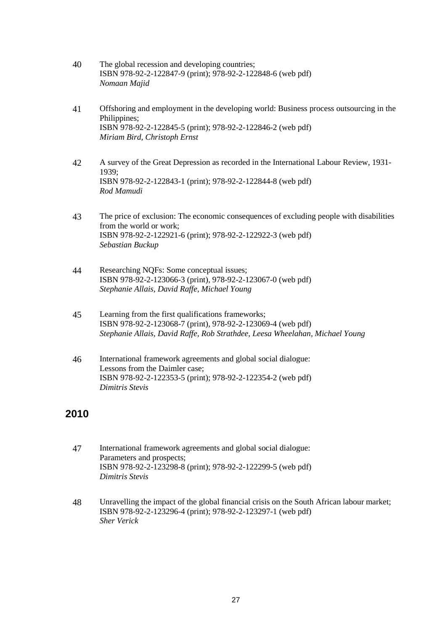- 40 The global recession and developing countries; ISBN 978-92-2-122847-9 (print); 978-92-2-122848-6 (web pdf) *Nomaan Majid*
- 41 Offshoring and employment in the developing world: Business process outsourcing in the Philippines; ISBN 978-92-2-122845-5 (print); 978-92-2-122846-2 (web pdf) *Miriam Bird, Christoph Ernst*
- 42 A survey of the Great Depression as recorded in the International Labour Review, 1931- 1939; ISBN 978-92-2-122843-1 (print); 978-92-2-122844-8 (web pdf) *Rod Mamudi*
- 43 The price of exclusion: The economic consequences of excluding people with disabilities from the world or work; ISBN 978-92-2-122921-6 (print); 978-92-2-122922-3 (web pdf) *Sebastian Buckup*
- 44 Researching NQFs: Some conceptual issues; ISBN 978-92-2-123066-3 (print), 978-92-2-123067-0 (web pdf) *Stephanie Allais, David Raffe, Michael Young*
- 45 Learning from the first qualifications frameworks; ISBN 978-92-2-123068-7 (print), 978-92-2-123069-4 (web pdf) *Stephanie Allais, David Raffe, Rob Strathdee, Leesa Wheelahan, Michael Young*
- 46 International framework agreements and global social dialogue: Lessons from the Daimler case; ISBN 978-92-2-122353-5 (print); 978-92-2-122354-2 (web pdf) *Dimitris Stevis*

- 47 International framework agreements and global social dialogue: Parameters and prospects; ISBN 978-92-2-123298-8 (print); 978-92-2-122299-5 (web pdf) *Dimitris Stevis*
- 48 Unravelling the impact of the global financial crisis on the South African labour market; ISBN 978-92-2-123296-4 (print); 978-92-2-123297-1 (web pdf) *Sher Verick*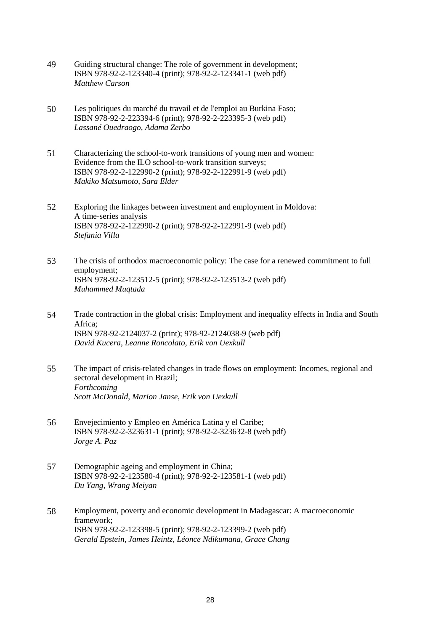- 49 Guiding structural change: The role of government in development; ISBN 978-92-2-123340-4 (print); 978-92-2-123341-1 (web pdf) *Matthew Carson*
- 50 Les politiques du marché du travail et de l'emploi au Burkina Faso; ISBN 978-92-2-223394-6 (print); 978-92-2-223395-3 (web pdf) *Lassané Ouedraogo, Adama Zerbo*
- 51 Characterizing the school-to-work transitions of young men and women: Evidence from the ILO school-to-work transition surveys; ISBN 978-92-2-122990-2 (print); 978-92-2-122991-9 (web pdf) *Makiko Matsumoto, Sara Elder*
- 52 Exploring the linkages between investment and employment in Moldova: A time-series analysis ISBN 978-92-2-122990-2 (print); 978-92-2-122991-9 (web pdf) *Stefania Villa*
- 53 The crisis of orthodox macroeconomic policy: The case for a renewed commitment to full employment; ISBN 978-92-2-123512-5 (print); 978-92-2-123513-2 (web pdf) *Muhammed Muqtada*
- 54 Trade contraction in the global crisis: Employment and inequality effects in India and South Africa; ISBN 978-92-2124037-2 (print); 978-92-2124038-9 (web pdf) *David Kucera, Leanne Roncolato, Erik von Uexkull*
- 55 The impact of crisis-related changes in trade flows on employment: Incomes, regional and sectoral development in Brazil; *Forthcoming Scott McDonald, Marion Janse, Erik von Uexkull*
- 56 Envejecimiento y Empleo en América Latina y el Caribe; ISBN 978-92-2-323631-1 (print); 978-92-2-323632-8 (web pdf) *Jorge A. Paz*
- 57 Demographic ageing and employment in China; ISBN 978-92-2-123580-4 (print); 978-92-2-123581-1 (web pdf) *Du Yang, Wrang Meiyan*
- 58 Employment, poverty and economic development in Madagascar: A macroeconomic framework; ISBN 978-92-2-123398-5 (print); 978-92-2-123399-2 (web pdf) *Gerald Epstein, James Heintz, Léonce Ndikumana, Grace Chang*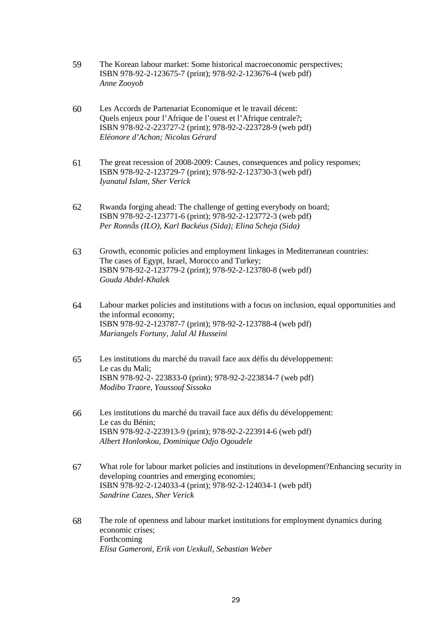- 59 The Korean labour market: Some historical macroeconomic perspectives; ISBN 978-92-2-123675-7 (print); 978-92-2-123676-4 (web pdf) *Anne Zooyob*
- 60 Les Accords de Partenariat Economique et le travail décent: Quels enjeux pour l'Afrique de l'ouest et l'Afrique centrale?; ISBN 978-92-2-223727-2 (print); 978-92-2-223728-9 (web pdf) *Eléonore d'Achon; Nicolas Gérard*
- 61 The great recession of 2008-2009: Causes, consequences and policy responses; ISBN 978-92-2-123729-7 (print); 978-92-2-123730-3 (web pdf) *Iyanatul Islam, Sher Verick*
- 62 Rwanda forging ahead: The challenge of getting everybody on board; ISBN 978-92-2-123771-6 (print); 978-92-2-123772-3 (web pdf) *Per Ronn*å*s (ILO), Karl Backéus (Sida); Elina Scheja (Sida)*
- 63 Growth, economic policies and employment linkages in Mediterranean countries: The cases of Egypt, Israel, Morocco and Turkey; ISBN 978-92-2-123779-2 (print); 978-92-2-123780-8 (web pdf) *Gouda Abdel-Khalek*
- 64 Labour market policies and institutions with a focus on inclusion, equal opportunities and the informal economy; ISBN 978-92-2-123787-7 (print); 978-92-2-123788-4 (web pdf) *Mariangels Fortuny, Jalal Al Husseini*
- 65 Les institutions du marché du travail face aux défis du développement: Le cas du Mali; ISBN 978-92-2- 223833-0 (print); 978-92-2-223834-7 (web pdf) *Modibo Traore, Youssouf Sissoko*
- 66 Les institutions du marché du travail face aux défis du développement: Le cas du Bénin; ISBN 978-92-2-223913-9 (print); 978-92-2-223914-6 (web pdf) *Albert Honlonkou, Dominique Odjo Ogoudele*
- 67 What role for labour market policies and institutions in development?Enhancing security in developing countries and emerging economies; ISBN 978-92-2-124033-4 (print); 978-92-2-124034-1 (web pdf) *Sandrine Cazes, Sher Verick*
- 68 The role of openness and labour market institutions for employment dynamics during economic crises; Forthcoming *Elisa Gameroni, Erik von Uexkull, Sebastian Weber*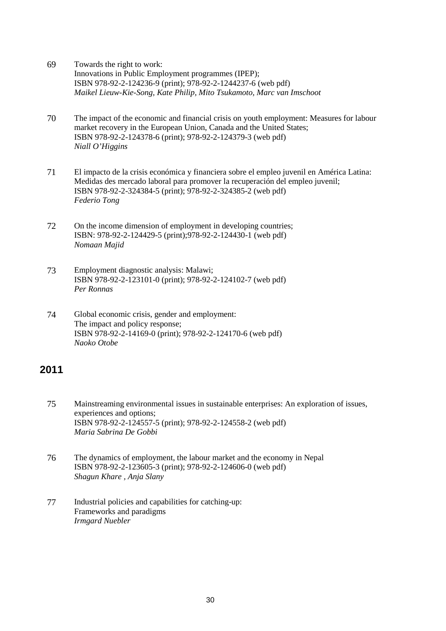- 69 Towards the right to work: Innovations in Public Employment programmes (IPEP); ISBN 978-92-2-124236-9 (print); 978-92-2-1244237-6 (web pdf) *Maikel Lieuw-Kie-Song, Kate Philip, Mito Tsukamoto, Marc van Imschoot*
- 70 The impact of the economic and financial crisis on youth employment: Measures for labour market recovery in the European Union, Canada and the United States; ISBN 978-92-2-124378-6 (print); 978-92-2-124379-3 (web pdf) *Niall O'Higgins*
- 71 El impacto de la crisis económica y financiera sobre el empleo juvenil en América Latina: Medidas des mercado laboral para promover la recuperación del empleo juvenil; ISBN 978-92-2-324384-5 (print); 978-92-2-324385-2 (web pdf) *Federio Tong*
- 72 On the income dimension of employment in developing countries; ISBN: 978-92-2-124429-5 (print);978-92-2-124430-1 (web pdf) *Nomaan Majid*
- 73 Employment diagnostic analysis: Malawi; ISBN 978-92-2-123101-0 (print); 978-92-2-124102-7 (web pdf) *Per Ronnas*
- 74 Global economic crisis, gender and employment: The impact and policy response; ISBN 978-92-2-14169-0 (print); 978-92-2-124170-6 (web pdf) *Naoko Otobe*

- 75 Mainstreaming environmental issues in sustainable enterprises: An exploration of issues, experiences and options; ISBN 978-92-2-124557-5 (print); 978-92-2-124558-2 (web pdf) *Maria Sabrina De Gobbi*
- 76 The dynamics of employment, the labour market and the economy in Nepal ISBN 978-92-2-123605-3 (print); 978-92-2-124606-0 (web pdf) *Shagun Khare , Anja Slany*
- 77 Industrial policies and capabilities for catching-up: Frameworks and paradigms *Irmgard Nuebler*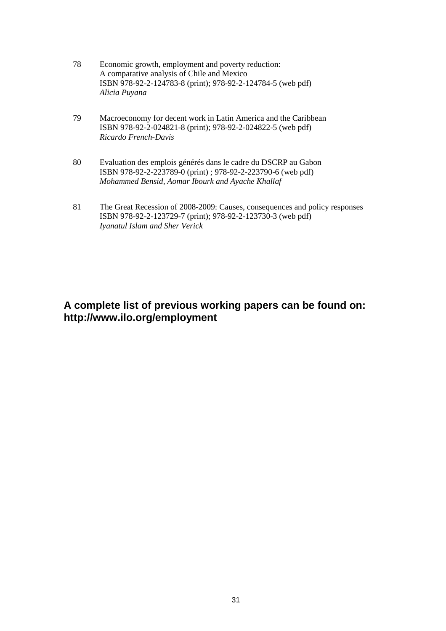- 78 Economic growth, employment and poverty reduction: A comparative analysis of Chile and Mexico ISBN 978-92-2-124783-8 (print); 978-92-2-124784-5 (web pdf) *Alicia Puyana*
- 79 Macroeconomy for decent work in Latin America and the Caribbean ISBN 978-92-2-024821-8 (print); 978-92-2-024822-5 (web pdf) *Ricardo French-Davis*
- 80 Evaluation des emplois générés dans le cadre du DSCRP au Gabon ISBN 978-92-2-223789-0 (print) ; 978-92-2-223790-6 (web pdf) *Mohammed Bensid, Aomar Ibourk and Ayache Khallaf*
- 81 The Great Recession of 2008-2009: Causes, consequences and policy responses ISBN 978-92-2-123729-7 (print); 978-92-2-123730-3 (web pdf) *Iyanatul Islam and Sher Verick*

### **A complete list of previous working papers can be found on: http://www.ilo.org/employment**